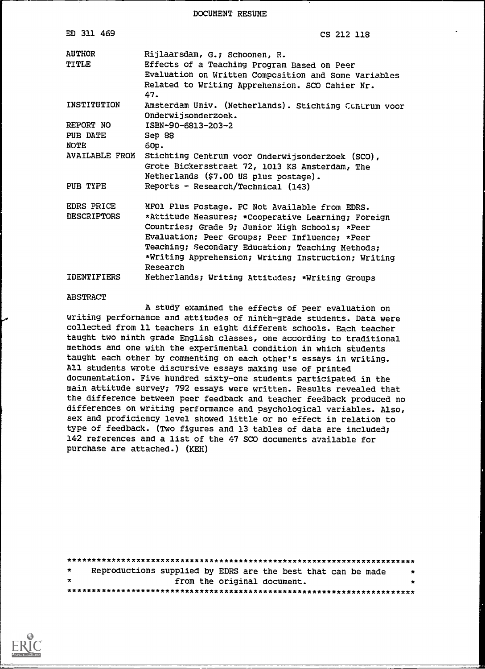DOCUMENT RESUME

| ED 311 469                       | CS 212 118                                                                                                                                                                                                                                                                                                                      |
|----------------------------------|---------------------------------------------------------------------------------------------------------------------------------------------------------------------------------------------------------------------------------------------------------------------------------------------------------------------------------|
| AIITHOR<br>TITLE                 | Rijlaarsdam, G.; Schoonen, R.<br>Effects of a Teaching Program Based on Peer<br>Evaluation on Written Composition and Some Variables<br>Related to Writing Apprehension. SCO Cahier Nr.<br>47.                                                                                                                                  |
| INSTITUTION                      | Amsterdam Univ. (Netherlands). Stichting Canarum voor<br>Onderwijsonderzoek.                                                                                                                                                                                                                                                    |
| REPORT NO                        | ISBN-90-6813-203-2                                                                                                                                                                                                                                                                                                              |
| PUB DATE                         | Sep 88                                                                                                                                                                                                                                                                                                                          |
| <b>NOTE</b>                      | 60p.                                                                                                                                                                                                                                                                                                                            |
| <b>AVAILABLE FROM</b>            | Stichting Centrum voor Onderwijsonderzoek (SCO),<br>Grote Bickersstraat 72, 1013 KS Amsterdam, The<br>Netherlands (\$7.00 US plus postage).                                                                                                                                                                                     |
| PUB TYPE                         | Reports - Research/Technical (143)                                                                                                                                                                                                                                                                                              |
| EDRS PRICE<br><b>DESCRIPTORS</b> | MFO1 Plus Postage. PC Not Available from EDRS.<br>*Attitude Measures; *Cooperative Learning; Foreign<br>Countries; Grade 9; Junior High Schools; *Peer<br>Evaluation; Peer Groups; Peer Influence; *Peer<br>Teaching; Secondary Education; Teaching Methods;<br>*Writing Apprehension; Writing Instruction; Writing<br>Research |
| <b>IDENTIFIERS</b>               | Netherlands; Writing Attitudes; *Writing Groups                                                                                                                                                                                                                                                                                 |

#### ABSTRACT

A study examined the effects of peer evaluation on writing performance and attitudes of ninth-grade students. Data were collected from 11 teachers in eight different schools. Each teacher taught two ninth grade English classes, one according to traditional methods and one with the experimental condition in which students taught each other by commenting on each other's essays in writing. All students wrote discursive essays making use of printed documentation. Five hundred sixty-one students participated in the main attitude survey; 792 essays were written. Results revealed that the difference between peer feedback and teacher feedback produced no differences on writing performance and psychological variables. Also, sex and proficiency level showed little or no effect in relation to type of feedback. (Two figures and 13 tables of data are included; 142 references and a list of the 47 SCO documents available for purchase are attached.) (KEH)

| $\star$ |  | Reproductions supplied by EDRS are the best that can be made | $\pmb{\ast}$ |
|---------|--|--------------------------------------------------------------|--------------|
| $\star$ |  | from the original document.                                  | $\star$      |
|         |  |                                                              |              |

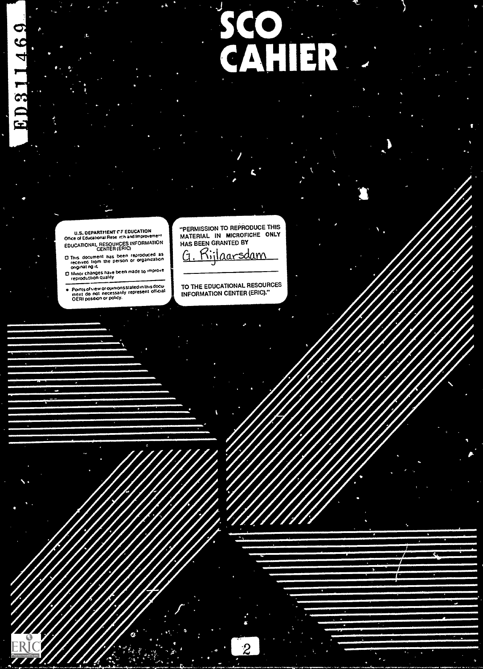# SCO<br>CAHIER

U.S. DEPARTMENT CF EDUCATION<br>Office of Educational Rese rch and Improvement EDUCATIONAL RESOURCES INFORMATION CENTER (ERIC)

ED311469

- CI This document has been reproduced as<br>received from the person or organization<br>organization<br>Of Minor changes have been made to improve<br>reproduction quality
- 
- Points of view or opimons stated in this docu-<br>ment do not necessarily represent official<br>OERI position or policy,

a. In the second control of the second control of the second control of the second control of the second control of the second control of the second control of the second control of the second control of the second control

"PERMISSION TO REPRODUCE THIS MATERIAL IN MICROFICHE ONLY HAS BEEN GRANTED BY

<u>Rijlaarsdam</u>

TO THE EDUCATIONAL RESOURCES INFORMATION CENTER (ERIC)."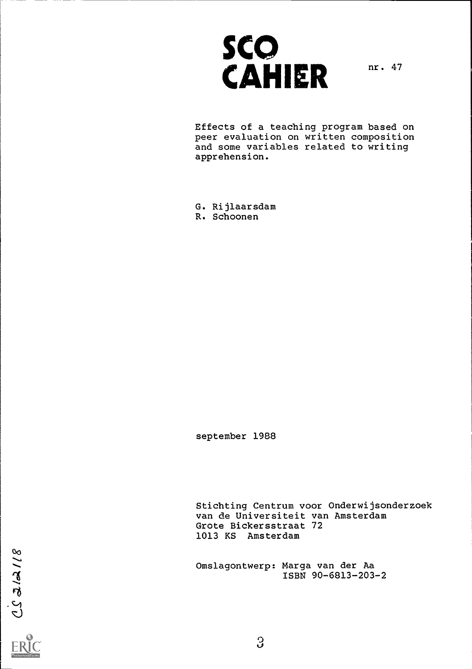

Effects of a teaching program based on peer evaluation on written composition and some variables related to writing apprehension.

G. Rijlaarsdam R. Schoonen

september 1988

Stichting Centrum voor Onderwijsonderzoek van de Universiteit van Amsterdam Grote Bickersstraat 72 1013 KS Amsterdam

Omslagontwerp: Marga van der Aa ISBN 90-6813-203-2

 $21/7725$ 

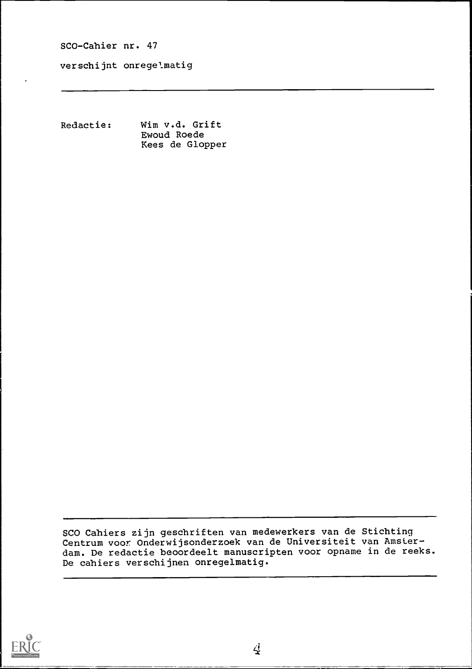verschijnt onregelmatig

Redactie: Wim v.d. Grift Ewoud Roede Kees de Glopper

SCO Cahiers zijn geschriften van medewerkers van de Stichting Centrum voor Onderwijsonderzoek van de Universiteit van Amsterdam. De redactie beoordeelt manuscripten voor opname in de reeks. De cahiers verschijnen onregelmatig.



 $\overline{4}$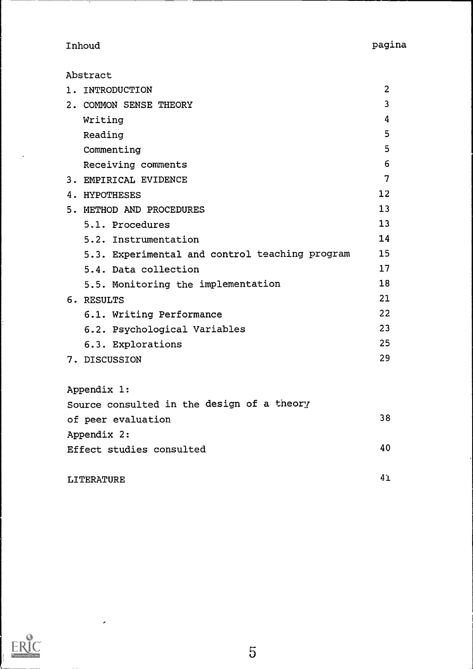Inhoud pagina

Abstract

| 1. INTRODUCTION                                | $\overline{2}$ |
|------------------------------------------------|----------------|
| 2. COMMON SENSE THEORY                         | 3              |
| Writing                                        | 4              |
| Reading                                        | 5              |
| Commenting                                     | 5              |
| Receiving comments                             | 6              |
| 3. EMPIRICAL EVIDENCE                          | $\overline{7}$ |
| 4. HYPOTHESES                                  | 12             |
| 5. METHOD AND PROCEDURES                       | 13             |
| 5.1. Procedures                                | 13             |
| 5.2. Instrumentation                           | 14             |
| 5.3. Experimental and control teaching program | 15             |
| 5.4. Data collection                           | 17             |
| 5.5. Monitoring the implementation             | 18             |
| 6. RESULTS                                     | 21             |
| 6.1. Writing Performance                       | 22             |
| 6.2. Psychological Variables                   | 23             |
| 6.3. Explorations                              | 25             |
| 7. DISCUSSION                                  | 29             |
| Appendix 1:                                    |                |
| Source consulted in the design of a theory     |                |

of peer evaluation 38 Appendix 2: Effect studies consulted 40

| LITERATURE |  | Δ |
|------------|--|---|
|------------|--|---|

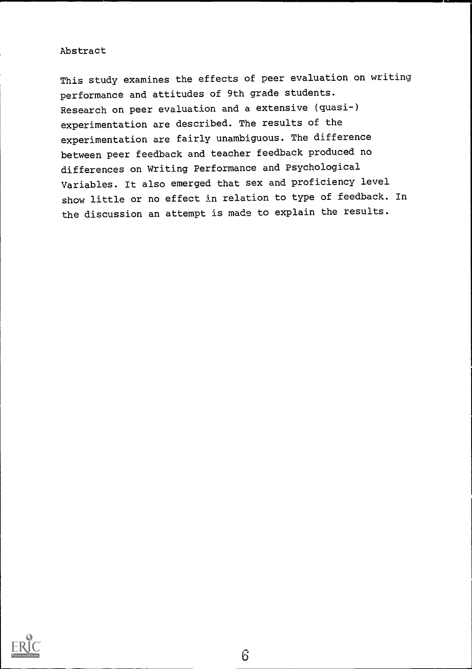# Abstract

This study examines the effects of peer evaluation on writing performance and attitudes of 9th grade students. Research on peer evaluation and a extensive (quasi-) experimentation are described. The results of the experimentation are fairly unambiguous. The difference between peer feedback and teacher feedback produced no differences on Writing Performance and Psychological Variables. It also emerged that sex and proficiency level show little or no effect in relation to type of feedback. In the discussion an attempt is made to explain the results.

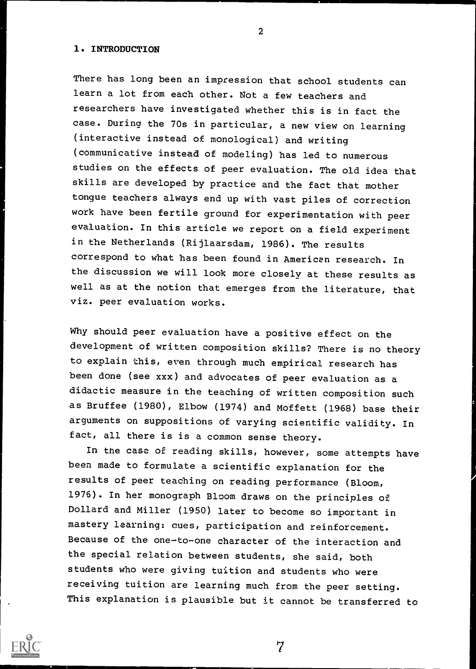### 1. INTRODUCTION

There has long been an impression that school students can learn a lot from each other. Not a few teachers and researchers have investigated whether this is in fact the case. During the ?Os in particular, a new view on learning (interactive instead of monological) and writing (communicative instead of modeling) has led to numerous studies on the effects of peer evaluation. The old idea that skills are developed by practice and the fact that mother tongue teachers always end up with vast piles of correction work have been fertile ground for experimentation with peer evaluation. In this article we report on a field experiment in the Netherlands (Rijlaarsdam, 1986). The results correspond to what has been found in American research. In the discussion we will look more closely at these results as well as at the notion that emerges from the literature, that viz. peer evaluation works.

Why should peer evaluation have a positive effect on the development of written composition skills? There is no theory to explain this, even through much empirical research has been done (see xxx) and advocates of peer evaluation as a didactic measure in the teaching of written composition such as Bruffee (1980), Elbow (1974) and Moffett (1968) base their arguments on suppositions of varying scientific validity. In fact, all there is is a common sense theory.

In the case of reading skills, however, some attempts have been made to formulate a scientific explanation for the results of peer teaching on reading performance (Bloom, 1976). In her monograph Bloom draws on the principles of Dollard and Miller (1950) later to become so important in mastery learning: cues, participation and reinforcement. Because of the one-to-one character of the interaction and the special relation between students, she said, both students who were giving tuition and students who were receiving tuition are learning much from the peer setting. This explanation is plausible but it cannot be transferred to

7



 $\overline{2}$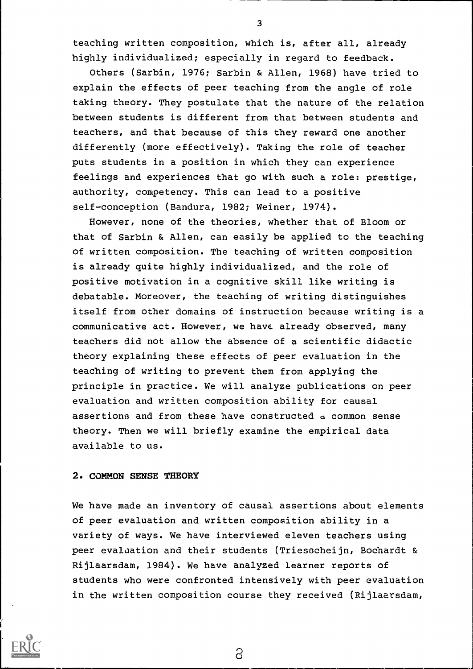teaching written composition, which is, after all, already highly individualized; especially in regard to feedback.

Others (Sarbin, 1976; Sarbin & Allen, 1968) have tried to explain the effects of peer teaching from the angle of role taking theory. They postulate that the nature of the relation between students is different from that between students and teachers, and that because of this they reward one another differently (more effectively). Taking the role of teacher puts students in a position in which they can experience feelings and experiences that go with such a role: prestige, authority, competency. This can lead to a positive self-conception (Bandura, 1982; Weiner, 1974).

However, none of the theories, whether that of Bloom or that of Sarbin & Allen, can easily be applied to the teaching of written composition. The teaching of written composition is already quite highly individualized, and the role of positive motivation in a cognitive skill like writing is debatable. Moreover, the teaching of writing distinguishes itself from other domains of instruction because writing is a communicative act. However, we have already observed, many teachers did not allow the absence of a scientific didactic theory explaining these effects of peer evaluation in the teaching of writing to prevent them from applying the principle in practice. We will analyze publications on peer evaluation and written composition ability for causal assertions and from these have constructed a common sense theory. Then we will briefly examine the empirical data available to us.

#### 2. COMMON SENSE THEORY

We have made an inventory of causal assertions about elements of peer evaluation and written composition ability in a variety of ways. We have interviewed eleven teachers using peer evaluation and their students (Triesscheijn, Bochardt & Rijlaarsdam, 1984). We have analyzed learner reports of students who were confronted intensively with peer evaluation in the written composition course they received (Rijlaarsdam,



3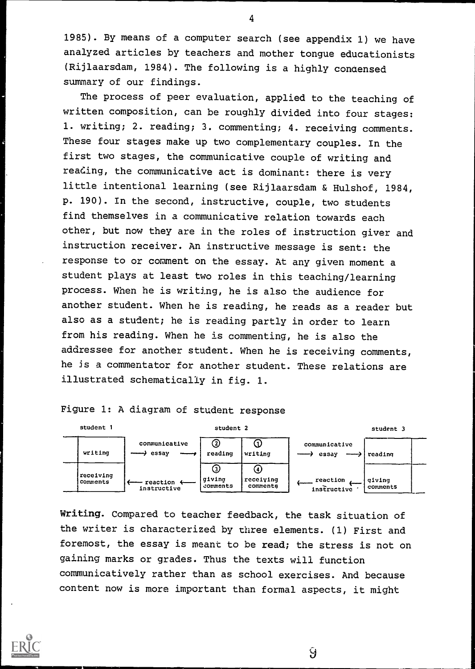1985). By means of a computer search (see appendix 1) we have analyzed articles by teachers and mother tongue educationists (Rijlaarsdam, 1984). The following is a highly condensed summary of our findings.

The process of peer evaluation, applied to the teaching of written composition, can be roughly divided into four stages: 1. writing; 2. reading; 3. commenting; 4. receiving comments. These four stages make up two complementary couples. In the first two stages, the communicative couple of writing and reading, the communicative act is dominant: there is very little intentional learning (see Rijlaarsdam & Hulshof, 1984, p. 190). In the second, instructive, couple, two students find themselves in a communicative relation towards each other, but now they are in the roles of instruction giver and instruction receiver. An instructive message is sent: the response to or comment on the essay. At any given moment a student plays at least two roles in this teaching/learning process. When he is writing, he is also the audience for another student. When he is reading, he reads as a reader but also as a student; he is reading partly in order to learn from his reading. When he is commenting, he is also the addressee for another student. When he is receiving comments, he is a commentator for another student. These relations are illustrated schematically in fig. 1.

Figure 1: A diagram of student response



Writing. Compared to teacher feedback, the task situation of the writer is characterized by three elements. (1) First and foremost, the essay is meant to be read; the stress is not on gaining marks or grades. Thus the texts will function communicatively rather than as school exercises. And because content now is more important than formal aspects, it might

Ŷ

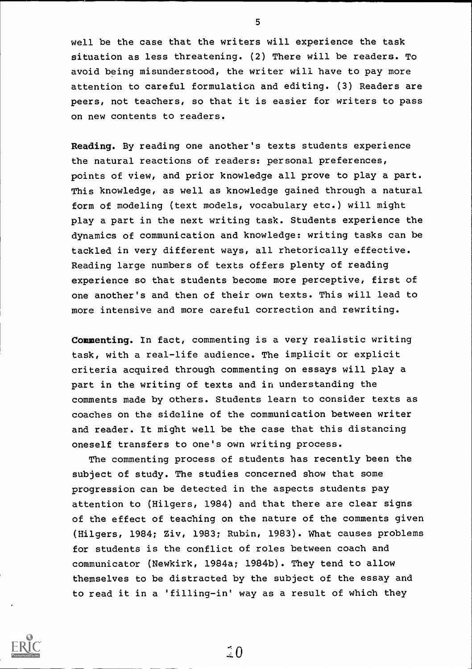well be the case that the writers will experience the task situation as less threatening. (2) There will be readers. To avoid being misunderstood, the writer will have to pay more attention to careful formulation and editing. (3) Readers are peers, not teachers, so that it is easier for writers to pass on new contents to readers.

Reading. By reading one another's texts students experience the natural reactions of readers: personal preferences, points of view, and prior knowledge all prove to play a part. This knowledge, as well as knowledge gained through a natural form of modeling (text models, vocabulary etc.) will might play a part in the next writing task. Students experience the dynamics of communication and knowledge: writing tasks can be tackled in very different ways, all rhetorically effective. Reading large numbers of texts offers plenty of reading experience so that students become more perceptive, first of one another's and then of their own texts. This will lead to more intensive and more careful correction and rewriting.

Commenting. In fact, commenting is a very realistic writing task, with a real-life audience. The implicit or explicit criteria acquired through commenting on essays will play a part in the writing of texts and in understanding the comments made by others. Students learn to consider texts as coaches on the sideline of the communication between writer and reader. It might well be the case that this distancing oneself transfers to one's own writing process.

The commenting process of students has recently been the subject of study. The studies concerned show that some progression can be detected in the aspects students pay attention to (Hilgers, 1984) and that there are clear signs of the effect of teaching on the nature of the comments given (Hilgers, 1984; Ziv, 1983; Rubin, 1983). What causes problems for students is the conflict of roles between coach and communicator (Newkirk, 1984a; 1984b). They tend to allow themselves to be distracted by the subject of the essay and to read it in a 'filling-in' way as a result of which they



5

 $\tilde{1}0$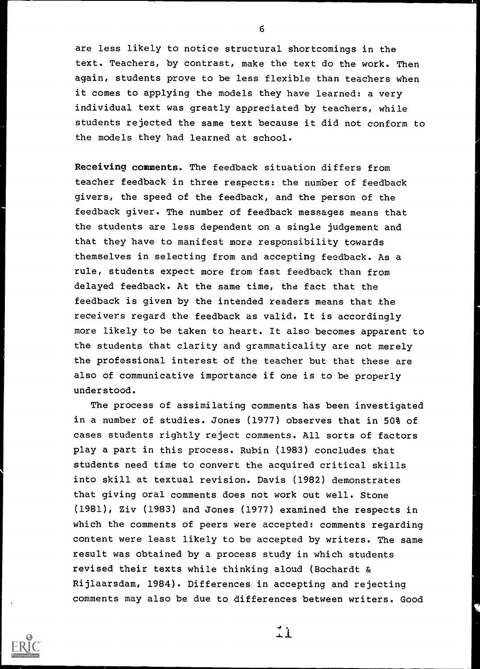are less likely to notice structural shortcomings in the text. Teachers, by contrast, make the text do the work. Then again, students prove to be less flexible than teachers when it comes to applying the models they have learned: a very individual text was greatly appreciated by teachers, while students rejected the same text because it did not conform to the models they had learned at school.

Receiving comments. The feedback situation differs from teacher feedback in three respects: the number of feedback givers, the speed of the feedback, and the person of the feedback giver. The number of feedback messages means that the students are less dependent on a single judgement and that they have to manifest more responsibility towards themselves in selecting from and accepting feedback. As a rule, students expect more from fast feedback than from delayed feedback. At the same time, the fact that the feedback is given by the intended readers means that the receivers regard the feedback as valid. It is accordingly more likely to be taken to heart. It also becomes apparent to the students that clarity and grammaticality are not merely the professional interest of the teacher but that these are also of communicative importance if one is to be properly understood.

The process of assimilating comments has been investigated in a number of studies. Jones (1977) observes that in 50% of cases students rightly reject comments. All sorts of factors play a part in this process. Rubin (1983) concludes that students need time to convert the acquired critical skills into skill at textual revision. Davis (1982) demonstrates that giving oral comments does not work out well. Stone (1981), Ziv (1983) and Jones (1977) examined the respects in which the comments of peers were accepted: comments regarding content were least likely to be accepted by writers. The same result was obtained by a process study in which students revised their texts while thinking aloud (Bochardt & Rijlaarsdam, 1984). Differences in accepting and rejecting comments may also be due to differences between writers. Good



6

 $\pm 1$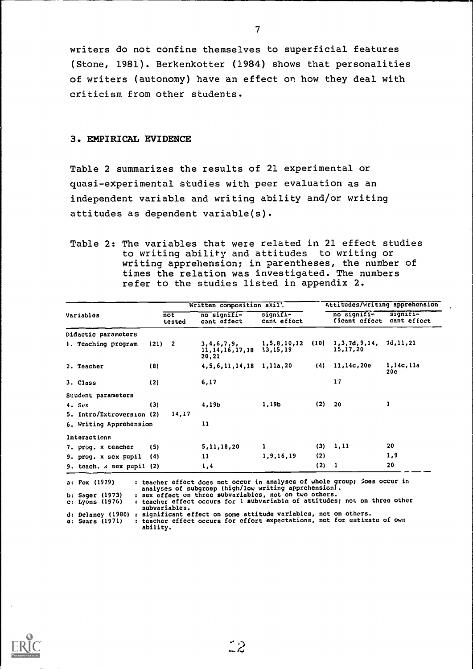writers do not confine themselves to superficial features (Stone, 1981). Berkenkotter (1984) shows that personalities of writers (autonomy) have an effect on how they deal with criticism from other students.

# 3. EMPIRICAL EVIDENCE

Table 2 summarizes the results of 21 experimental or quasi-experimental studies with peer evaluation as an independent variable and writing ability and/or writing attitudes as dependent variable(s).

Table 2: The variables that were related in 21 effect studies to writing ability and attitudes to writing or writing apprehension; in parentheses, the number of times the relation was investigated. The numbers refer to the studies listed in appendix 2.

|                                                                                   |     |                                   | Written composition skil!                                                                                                          | Attitudes/Writing apprehension |       |                                          |                  |  |
|-----------------------------------------------------------------------------------|-----|-----------------------------------|------------------------------------------------------------------------------------------------------------------------------------|--------------------------------|-------|------------------------------------------|------------------|--|
| Variables                                                                         |     | $\overline{\text{not}}$<br>tested | no signifi-<br>cant effect                                                                                                         | $signiff =$<br>cant effect     |       | no signifi-<br>ficant effect cant effect | signifi-         |  |
| Didactic parameters                                                               |     |                                   |                                                                                                                                    |                                |       |                                          |                  |  |
| 1. Teaching program                                                               |     | (21) 2                            | 3,4,6,7,9,<br>$11, 14, 16, 17, 18$ $13, 15, 19$<br>20,21                                                                           | 1,5,8,10,12 (10)               |       | 1, 3, 7d, 9, 14, 7d, 11, 21<br>15,17,20  |                  |  |
| 2. Teacher                                                                        | (8) |                                   | $4, 5, 6, 11, 14, 18$ 1, 11a, 20                                                                                                   |                                |       | $(4)$ 11, 14c, 20e                       | 1,14c,11a<br>20c |  |
| 3. Class                                                                          | (2) |                                   | 6,17                                                                                                                               |                                |       | 17                                       |                  |  |
| Student parameters                                                                |     |                                   |                                                                                                                                    |                                |       |                                          |                  |  |
| 4. Sex                                                                            | (3) |                                   | 4,19b                                                                                                                              | 1,19b                          | (2)   | 20                                       |                  |  |
| 5. Intro/Extroversion (2)                                                         |     | 14,17                             |                                                                                                                                    |                                |       |                                          |                  |  |
| 6. Writing Apprehension                                                           |     |                                   | 11                                                                                                                                 |                                |       |                                          |                  |  |
| Interactions                                                                      |     |                                   |                                                                                                                                    |                                |       |                                          |                  |  |
| 7. prog. x teacher                                                                | (5) |                                   | 5,11,18,20                                                                                                                         | 1                              |       | (3) 1, 11                                | 20               |  |
| 9. prog. x sex pupil                                                              | (4) |                                   | 11                                                                                                                                 | 1,9,16,19                      | (2)   |                                          | 1,9              |  |
| 9. teach. $\lambda$ sex pupil (2)                                                 |     |                                   | 1,4                                                                                                                                |                                | (2) 1 |                                          | 20               |  |
|                                                                                   |     |                                   |                                                                                                                                    |                                |       |                                          |                  |  |
| a: Fox (1979)                                                                     |     |                                   | : teacher effect does not occur in analyses of whole group; loes occur in<br>analyses of subgroep (high/low writing apprehension). |                                |       |                                          |                  |  |
| b: Sager (1973)                                                                   |     |                                   | : sex effect on three subvariables, not on two others.                                                                             |                                |       |                                          |                  |  |
| c: Lyons (1976)                                                                   |     | subvariables.                     | : teacher effect occurs for 1 subvariable of attitudes; not on three other                                                         |                                |       |                                          |                  |  |
| d: Delaney (1980) : significant effect on some attitude variables, not on others. |     |                                   |                                                                                                                                    |                                |       |                                          |                  |  |
| e: Sears (1971)                                                                   |     |                                   | : teacher effect occurs for effort expectations, not for estimate of own                                                           |                                |       |                                          |                  |  |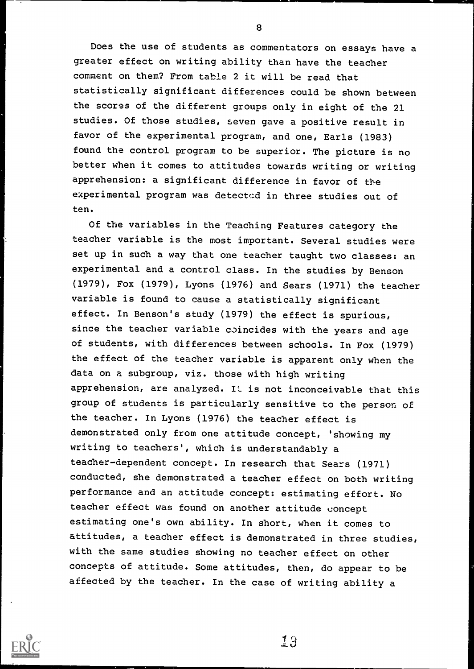Does the use of students as commentators on essays have a greater effect on writing ability than have the teacher comment on them? From table 2 it will be read that statistically significant differences could be shown between the scores of the different groups only in eight of the 21 studies. Of those studies, seven gave a positive result in favor of the experimental program, and one, Earls (1983) found the control program to be superior. The picture is no better when it comes to attitudes towards writing or writing apprehension: a significant difference in favor of the experimental program was detected in three studies out of ten.

Of the variables in the Teaching Features category the teacher variable is the most important. Several studies were set up in such a way that one teacher taught two classes: an experimental and a control class. In the studies by Benson (1979), Fox (1979), Lyons (1976) and Sears (1971) the teacher variable is found to cause a statistically significant effect. In Benson's study (1979) the effect is spurious, since the teacher variable coincides with the years and age of students, with differences between schools. In Fox (1979) the effect of the teacher variable is apparent only when the data on a subgroup, viz. those with high writing apprehension, are analyzed. It is not inconceivable that this group of students is particularly sensitive to the person of the teacher. In Lyons (1976) the teacher effect is demonstrated only from one attitude concept, 'showing my writing to teachers', which is understandably a teacher-dependent concept. In research that Sears (1971) conducted, she demonstrated a teacher effect on both writing performance and an attitude concept: estimating effort. No teacher effect was found on another attitude concept estimating one's own ability. In short, when it comes to attitudes, a teacher effect is demonstrated in three studies, with the same studies showing no teacher effect on other concepts of attitude. Some attitudes, then, do appear to be affected by the teacher. In the case of writing ability a



8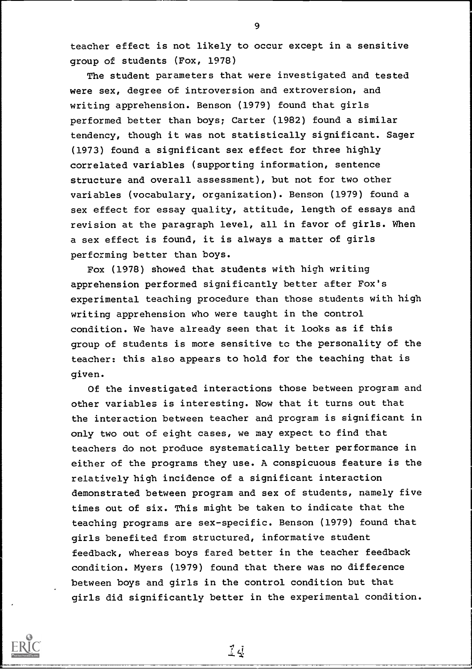teacher effect is not likely to occur except in a sensitive group of students (Fox, 1978)

The student parameters that were investigated and tested were sex, degree of introversion and extroversion, and writing apprehension. Benson (1979) found that girls performed better than boys; Carter (1982) found a similar tendency, though it was not statistically significant. Sager (1973) found a significant sex effect for three highly correlated variables (supporting information, sentence structure and overall assessment), but not for two other variables (vocabulary, organization). Benson (1979) found a sex effect for essay quality, attitude, length of essays and revision at the paragraph level, all in favor of girls. When a sex effect is found, it is always a matter of girls performing better than boys.

Fox (1978) showed that students with high writing apprehension performed significantly better after Fox's experimental teaching procedure than those students with high writing apprehension who were taught in the control condition. We have already seen that it looks as if this group of students is more sensitive to the personality of the teacher: this also appears to hold for the teaching that is given.

Of the investigated interactions those between program and other variables is interesting. Now that it turns out that the interaction between teacher and program is significant in only two out of eight cases, we may expect to find that teachers do not produce systematically better performance in either of the programs they use. A conspicuous feature is the relatively high incidence of a significant interaction demonstrated between program and sex of students, namely five times out of six. This might be taken to indicate that the teaching programs are sex-specific. Benson (1979) found that girls benefited from structured, informative student feedback, whereas boys fared better in the teacher feedback condition. Myers (1979) found that there was no difference between boys and girls in the control condition but that girls did significantly better in the experimental condition.

 $\vec{\perp} \vec{\triangle}$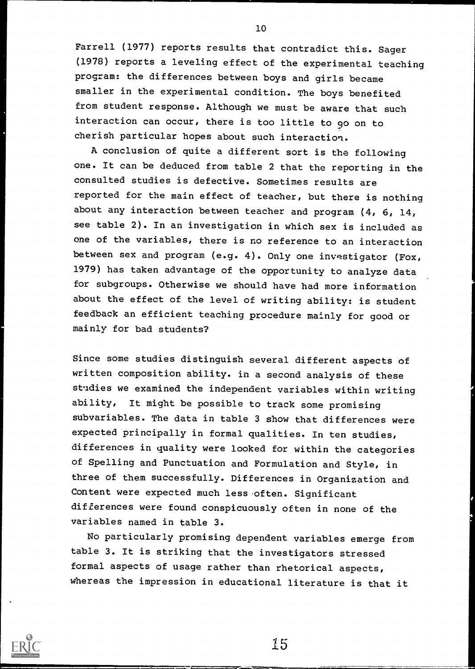Farrell (1977) reports results that contradict this. Sager (1978) reports a leveling effect of the experimental teaching program: the differences between boys and girls became smaller in the experimental condition. The boys benefited from student response. Although we must be aware that such interaction can occur, there is too little to go on to cherish particular hopes about such interaction.

A conclusion of quite a different sort is the following one. It can be deduced from table 2 that the reporting in the consulted studies is defective. Sometimes results are reported for the main effect of teacher, but there is nothing about any interaction between teacher and program  $(4, 6, 14, 14)$ see table 2). In an investigation in which sex is included as one of the variables, there is no reference to an interaction between sex and program (e.g. 4). Only one investigator (Fox, 1979) has taken advantage of the opportunity to analyze data for subgroups. Otherwise we should have had more information about the effect of the level of writing ability: is student feedback an efficient teaching procedure mainly for good or mainly for bad students?

Since some studies distinguish several different aspects of written composition ability. in a second analysis of these studies we examined the independent variables within writing ability, It might be possible to track some promising subvariables. The data in table 3 show that differences were expected principally in formal qualities. In ten studies, differences in quality were looked for within the categories of Spelling and Punctuation and Formulation and Style, in three of them successfully. Differences in Organization and Content were expected much less often. Significant differences were found conspicuously often in none of the variables named in table 3.

No particularly promising dependent variables emerge from table 3. It is striking that the investigators stressed formal aspects of usage rather than rhetorical aspects, whereas the impression in educational literature is that it



10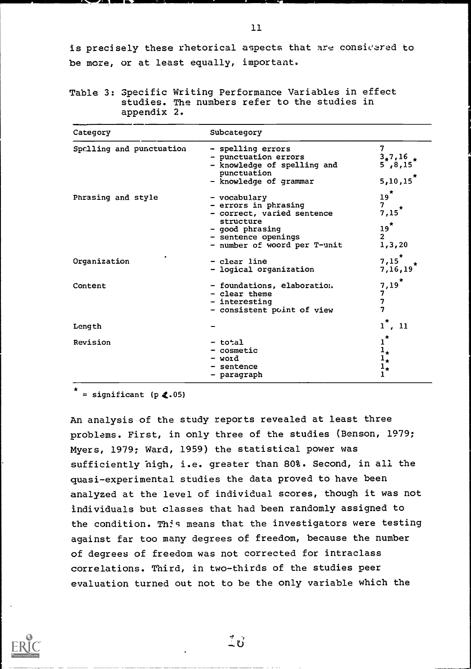is precisely these rhetorical aspects that are considered to be more, or at least equally, important.

Table 3: Specific Writing Performance Variables in effect studies. The numbers refer to the studies in appendix 2.

| Category                 | Subcategory                                                                                                                                               |                                                                   |  |  |  |  |  |
|--------------------------|-----------------------------------------------------------------------------------------------------------------------------------------------------------|-------------------------------------------------------------------|--|--|--|--|--|
| Spclling and punctuation | - spelling errors<br>- punctuation errors<br>- knowledge of spelling and<br>punctuation<br>- knowledge of grammar                                         | 7<br>$3,7,16$ $\star$<br>5, 8, 15<br>5,10,15                      |  |  |  |  |  |
| Phrasing and style       | - vocabulary<br>- errors in phrasing<br>- correct, varied sentence<br>structure<br>- good phrasing<br>- sentence openings<br>- number of woord per T-unit | $\frac{19}{7}$<br>$7,15^*$<br>$19*$<br>2 <sup>1</sup><br>1, 3, 20 |  |  |  |  |  |
| Organization             | - clear line<br>- logical organization                                                                                                                    | $7,15^*$<br>7,16,19                                               |  |  |  |  |  |
| Content                  | - foundations, elaboration.<br>- clear theme<br>- interesting<br>- consistent point of view                                                               | 7,19<br>7<br>7<br>7                                               |  |  |  |  |  |
| Length                   |                                                                                                                                                           | , 11<br>ı                                                         |  |  |  |  |  |
| Revision                 | - total<br>- cosmetic<br>- word<br>- sentence<br>- paragraph                                                                                              | $\pmb{\pi}$<br>ı<br>$1_{\star}$<br>ı,<br>$1_{\star}$              |  |  |  |  |  |

 $=$  significant (p  $\langle .05 \rangle$ 

71=7.41111114 WPM Mk\_

An analysis of the study reports revealed at least three problems. First, in only three of the studies (Benson, 1979; Myers, 1979; Ward, 1959) the statistical power was sufficiently high, i.e. greater than 80%. Second, in all the quasi-experimental studies the data proved to have been analyzed at the level of individual scores, though it was not individuals but classes that had been randomly assigned to the condition. This means that the investigators were testing against far too many degrees of freedom, because the number of degrees of freedom was not corrected for intraclass correlations. Third, in two-thirds of the studies peer evaluation turned out not to be the only variable which the



11

 $\stackrel{7}{\sim}$ ປີ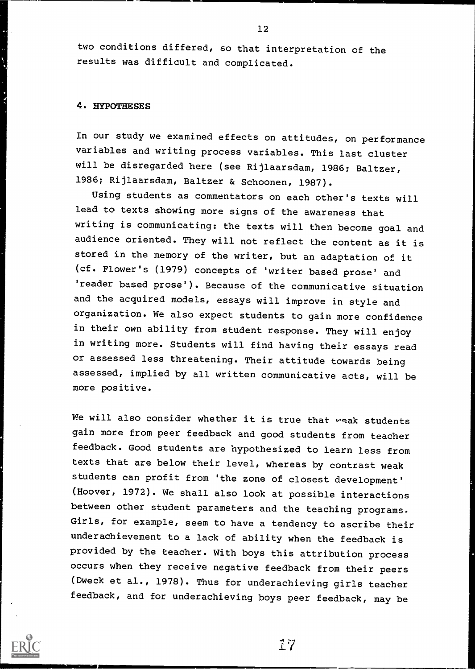two conditions differed, so that interpretation of the results was difficult and complicated.

# 4. HYPOTHESES

In our study we examined effects on attitudes, on performance variables and writing process variables. This last cluster will be disregarded here (see Rijlaarsdam, 1986; Baltzer, 1986; Rijlaarsdam, Baltzer & Schoonen, 1987).

Using students as commentators on each other's texts will lead to texts showing more signs of the awareness that writing is communicating: the texts will then become goal and audience oriented. They will not reflect the content as it is stored in the memory of the writer, but an adaptation of it (cf. Flower's (1979) concepts of 'writer based prose' and 'reader based prose'). Because of the communicative situation and the acquired models, essays will improve in style and organization. We also expect students to gain more confidence in their own ability from student response. They will enjoy in writing more. Students will find having their essays read or assessed less threatening. Their attitude towards being assessed, implied by all written communicative acts, will be more positive.

We will also consider whether it is true that weak students gain more from peer feedback and good students from teacher feedback. Good students are hypothesized to learn less from texts that are below their level, whereas by contrast weak students can profit from 'the zone of closest development' (Hoover, 1972). We shall also look at possible interactions between other student parameters and the teaching programs. Girls, for example, seem to have a tendency to ascribe their underachievement to a lack of ability when the feedback is provided by the teacher. With boys this attribution process occurs when they receive negative feedback from their peers (Dweck et al., 1978). Thus for underachieving girls teacher feedback, and for underachieving boys peer feedback, may be

 $17$ 

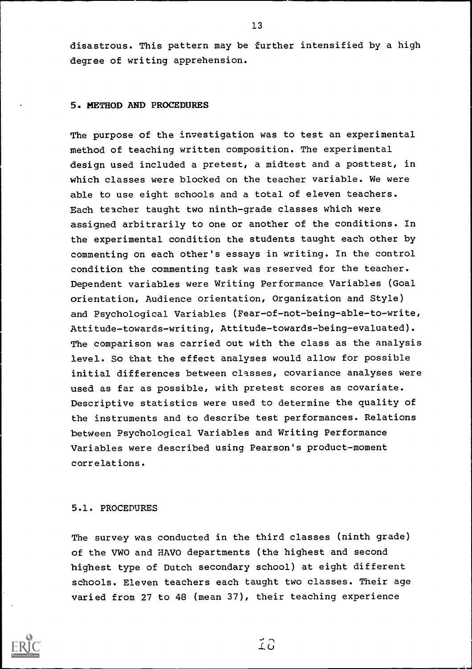disastrous. This pattern may be further intensified by a high degree of writing apprehension.

#### 5. METHOD AND PROCEDURES

The purpose of the investigation was to test an experimental method of teaching written composition. The experimental design used included a pretest, a midtest and a posttest, in which classes were blocked on the teacher variable. We were able to use eight schools and a total of eleven teachers. Each teacher taught two ninth-grade classes which were assigned arbitrarily to one or another of the conditions. In the experimental condition the students taught each other by commenting on each other's essays in writing. In the control condition the commenting task was reserved for the teacher. Dependent variables were Writing Performance Variables (Goal orientation, Audience orientation, Organization and Style) and Psychological Variables (Fear-of-not-being-able-to-write, Attitude-towards-writing, Attitude-towards-being-evaluated). The comparison was carried out with the class as the analysis level. So that the effect analyses would allow for possible initial differences between classes, covariance analyses were used as far as possible, with pretest scores as covariate. Descriptive statistics were used to determine the quality of the instruments and to describe test performances. Relations between Psychological Variables and Writing Performance Variables were described using Pearson's product-moment correlations.

# 5.1. PROCEDURES

The survey was conducted in the third classes (ninth grade) of the VWO and HAVO departments (the highest and second highest type of Dutch secondary school) at eight different schools. Eleven teachers each taught two classes. Their age varied from 27 to 48 (mean 37), their teaching experience



 $2^{\circ}$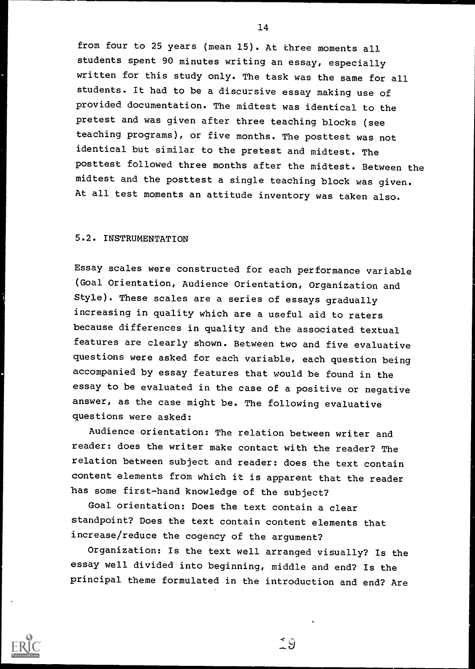from four to 25 years (mean 15). At three moments all students spent 90 minutes writing an essay, especially written for this study only. The task was the same for all students. It had to be a discursive essay making use of provided documentation. The midtest was identical to the pretest and was given after three teaching blocks (see teaching programs), or five months. The posttest was not identical but similar to the pretest and midtest. The posttest followed three months after the midtest. Between the midtest and the posttest a single teaching block was given. At all test moments an attitude inventory was taken also.

# 5.2. INSTRUMENTATION

Essay scales were constructed for each performance variable (Goal Orientation, Audience Orientation, Organization and Style). These scales are a series of essays gradually increasing in quality which are a useful aid to raters because differences in quality and the associated textual features are clearly shown. Between two and five evaluative questions were asked for each variable, each question being accompanied by essay features that would be found in the essay to be evaluated in the case of a positive or negative answer, as the case might be. The following evaluative questions were asked:

Audience orientation: The relation between writer and reader: does the writer make contact with the reader? The relation between subject and reader: does the text contain content elements from which it is apparent that the reader has some first-hand knowledge of the subject?

Goal orientation: Does the text contain a clear standpoint? Does the text contain content elements that increase/reduce the cogency of the argument?

Organization: Is the text well arranged visually? Is the essay well divided into beginning, middle and end? Is the principal theme formulated in the introduction and end? Are



 $\tilde{S}$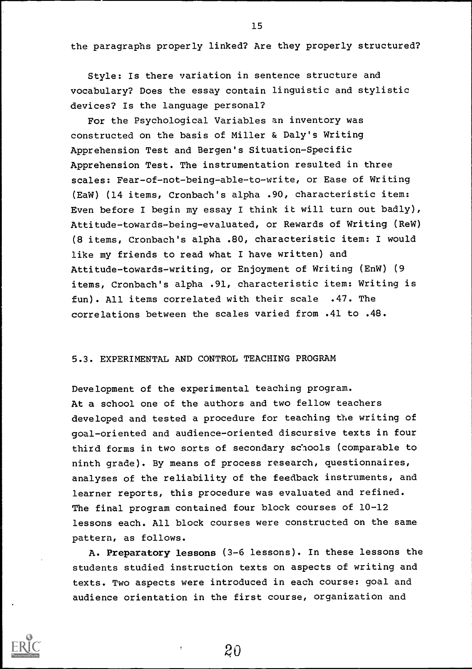the paragraphs properly linked? Are they properly structured?

Style: Is there variation in sentence structure and vocabulary? Does the essay contain linguistic and stylistic devices? Is the language personal?

For the Psychological Variables an inventory was constructed on the basis of Miller & Daly's Writing Apprehension Test and Bergen's Situation-Specific Apprehension Test. The instrumentation resulted in three scales: Fear-of-not-being-able-to-write, or Ease of Writing (EaW) (14 items, Cronbach's alpha .90, characteristic item: Even before I begin my essay I think it will turn out badly), Attitude-towards-being-evaluated, or Rewards of Writing (ReW) (8 items, Cronbach's alpha .80, characteristic item: I would like my friends to read what I have written) and Attitude-towards-writing, or Enjoyment of Writing (EnW) (9 items, Cronbach's alpha .91, characteristic item: Writing is fun). All items correlated with their scale .47. The correlations between the scales varied from .41 to .48.

# 5.3. EXPERIMENTAL AND CONTROL TEACHING PROGRAM

Development of the experimental teaching program. At a school one of the authors and two fellow teachers developed and tested a procedure for teaching the writing of goal-oriented and audience-oriented discursive texts in four third forms in two sorts of secondary schools (comparable to ninth grade). By means of process research, questionnaires, analyses of the reliability of the feedback instruments, and learner reports, this procedure was evaluated and refined. The final program contained four block courses of 10-12 lessons each. All block courses were constructed on the same pattern, as follows.

A. Preparatory lessons (3-6 lessons). In these lessons the students studied instruction texts on aspects of writing and texts. Two aspects were introduced in each course: goal and audience orientation in the first course, organization and

20

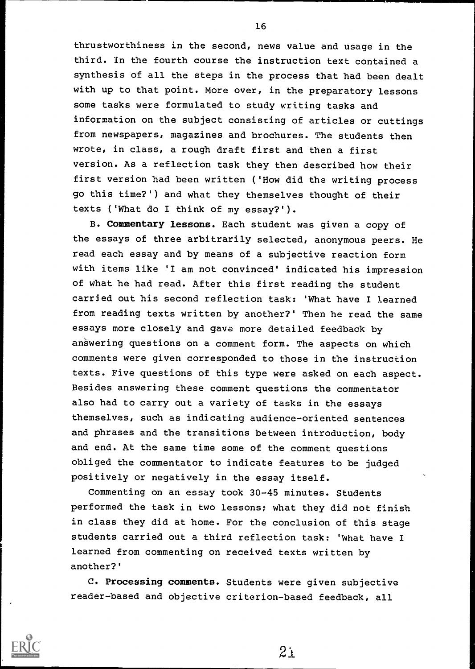thrustworthiness in the second, news value and usage in the third. In the fourth course the instruction text contained a synthesis of all the steps in the process that had been dealt with up to that point. More over, in the preparatory lessons some tasks were formulated to study writing tasks and information on the subject consisting of articles or cuttings from newspapers, magazines and brochures. The students then wrote, in class, a rough draft first and then a first version. As a reflection task they then described how their first version had been written ('How did the writing process go this time?') and what they themselves thought of their texts ('What do I think of my essay?').

B. Commentary lessons. Each student was given a copy of the essays of three arbitrarily selected, anonymous peers. He read each essay and by means of a subjective reaction form with items like 'I am not convinced' indicated his impression of what he had read. After this first reading the student carried out his second reflection task: 'What have I learned from reading texts written by another?' Then he read the same essays more closely and gave more detailed feedback by answering questions on a comment form. The aspects on which comments were given corresponded to those in the instruction texts. Five questions of this type were asked on each aspect. Besides answering these comment questions the commentator also had to carry out a variety of tasks in the essays themselves, such as indicating audience-oriented sentences and phrases and the transitions between introduction, body and end. At the same time some of the comment questions obliged the commentator to indicate features to be judged positively or negatively in the essay itself.

Commenting on an essay took 30-45 minutes. Students performed the task in two lessons; what they did not finish in class they did at home. For the conclusion of this stage students carried out a third reflection task: 'What have I learned from commenting on received texts written by another?'

C. Processing comments. Students were given subjective reader-based and objective criterion-based feedback, all



16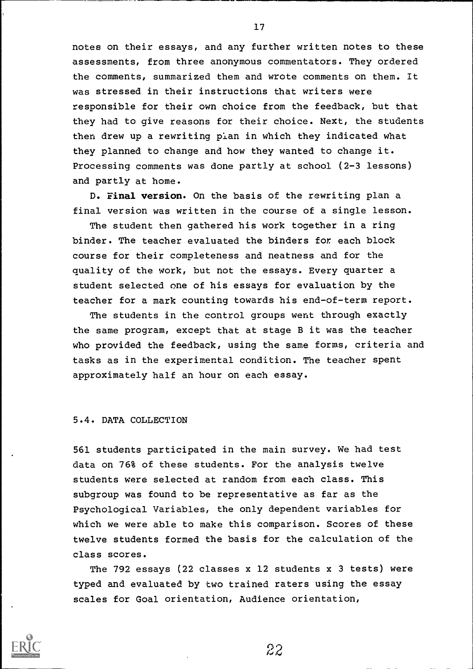notes on their essays, and any further written notes to these assessments, from three anonymous commentators. They ordered the comments, summarized them and wrote comments on them. It was stressed in their instructions that writers were responsible for their own choice from the feedback, but that they had to give reasons for their choice. Next, the students then drew up a rewriting plan in which they indicated what they planned to change and how they wanted to change it. Processing comments was done partly at school (2-3 lessons) and partly at home.

D. Final version. On the basis of the rewriting plan a final version was written in the course of a single lesson.

The student then gathered his work together in a ring binder. The teacher evaluated the binders for each block course for their completeness and neatness and for the quality of the work, but not the essays. Every quarter a student selected one of his essays for evaluation by the teacher for a mark counting towards his end-of-term report.

The students in the control groups went through exactly the same program, except that at stage B it was the teacher who provided the feedback, using the same forms, criteria and tasks as in the experimental condition. The teacher spent approximately half an hour on each essay.

#### 5.4. DATA COLLECTION

561 students participated in the main survey. We had test data on 76% of these students. For the analysis twelve students were selected at random from each class. This subgroup was found to be representative as far as the Psychological Variables, the only dependent variables for which we were able to make this comparison. Scores of these twelve students formed the basis for the calculation of the class scores.

The 792 essays (22 classes x 12 students x 3 tests) were typed and evaluated by two trained raters using the essay scales for Goal orientation, Audience orientation,



22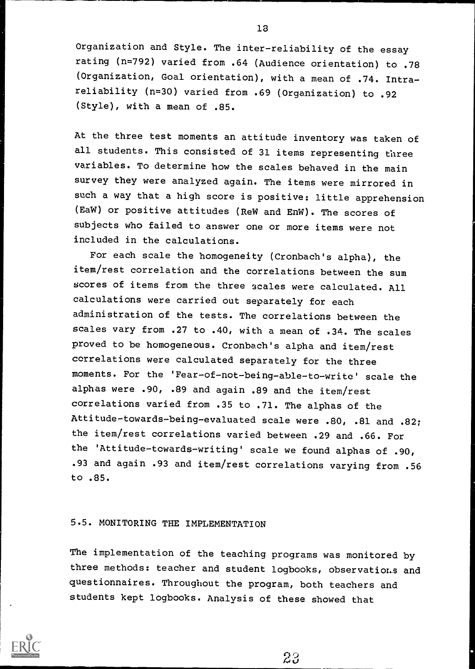Organization and Style. The inter-reliability of the essay rating (n=792) varied from .64 (Audience orientation) to .78 (Organization, Goal orientation), with a mean of .74. Intrareliability (n=30) varied from .69 (Organization) to .92 (Style), with a mean of .85.

At the three test moments an attitude inventory was taken of all students. This consisted of 31 items representing three variables. To determine how the scales behaved in the main survey they were analyzed again. The items were mirrored in such a way that a high score is positive: little apprehension (EaW) or positive attitudes (ReW and EnW). The scores of subjects who failed to answer one or more items were not included in the calculations.

For each scale the homogeneity (Cronbach's alpha), the item/rest correlation and the correlations between the sum scores of items from the three scales were calculated. All calculations were carried out separately for each administration of the tests. The correlations between the scales vary from .27 to .40, with a mean of .34. The scales proved to be homogeneous. Cronbach's alpha and item/rest correlations were calculated separately for the three moments. For the 'Fear-of-not-being-able-to-write' scale the alphas were .90, .89 and again .89 and the item/rest correlations varied from .35 to .71. The alphas of the Attitude-towards-being-evaluated scale were .80, .81 and .82; the item/rest correlations varied between .29 and .66. For the 'Attitude-towards-writing' scale we found alphas of .90, .93 and again .93 and item/rest correlations varying from .56 to .85.

# 5.5. MONITORING THE IMPLEMENTATION

The implementation of the teaching programs was monitored by three methods: teacher and student logbooks, observations and questionnaires. Throughout the program, both teachers and students kept logbooks. Analysis of these showed that

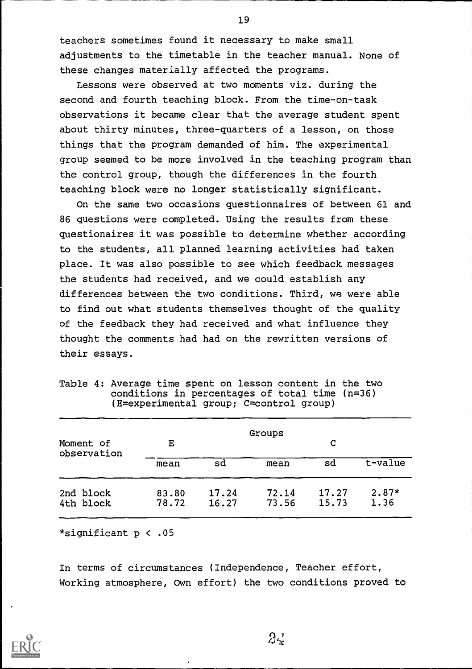teachers sometimes found it necessary to make small adjustments to the timetable in the teacher manual. None of these changes materially affected the programs.

Lessons were observed at two moments viz. during the second and fourth teaching block. From the time-on-task observations it became clear that the average student spent about thirty minutes, three-quarters of a lesson, on those things that the program demanded of him. The experimental group seemed to be more involved in the teaching program than the control group, though the differences in the fourth teaching block were no longer statistically significant.

On the same two occasions questionnaires of between 61 and 86 questions were completed. Using the results from these questionaires it was possible to determine whether according to the students, all planned learning activities had taken place. It was also possible to see which feedback messages the students had received, and we could establish any differences between the two conditions. Third, we were able to find out what students themselves thought of the quality of the feedback they had received and what influence they thought the comments had had on the rewritten versions of their essays.

| Moment of              | E              |                | Groups         | C              |                 |
|------------------------|----------------|----------------|----------------|----------------|-----------------|
| observation            | mean           | sd             | mean           | sd             | t-value         |
| 2nd block<br>4th block | 83.80<br>78.72 | 17.24<br>16.27 | 72.14<br>73.56 | 17.27<br>15.73 | $2.87*$<br>1.36 |
|                        |                |                |                |                |                 |

|  | Table 4: Average time spent on lesson content in the two |  |
|--|----------------------------------------------------------|--|
|  | conditions in percentages of total time $(n=36)$         |  |
|  | (E=experimental group; C=control group)                  |  |

\*significant p < .05

In terms of circumstances (Independence, Teacher effort, Working atmosphere, Own effort) the two conditions proved to

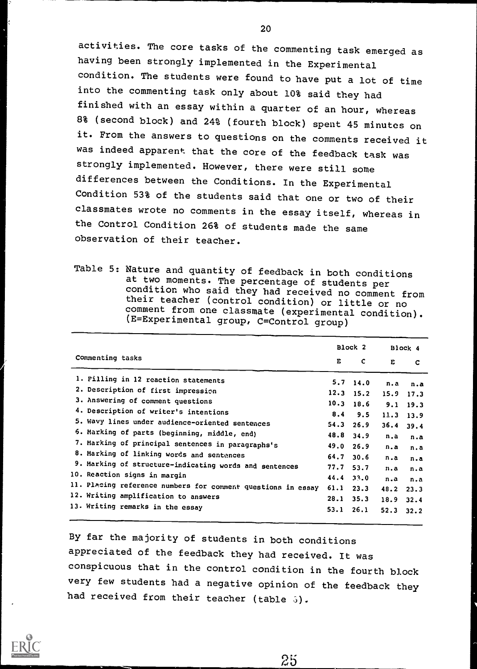activities. The core tasks of the commenting task emerged as having been strongly implemented in the Experimental condition. The students were found to have put a lot of time into the commenting task only about 10% said they had finished with an essay within a quarter of an hour, whereas 8% (second block) and 24% (fourth block) spent 45 minutes on it. From the answers to questions on the comments received it was indeed apparent that the core of the feedback task was strongly implemented. However, there were still some differences between the Conditions. In the Experimental Condition 53% of the students said that one or two of their classmates wrote no comments in the essay itself, whereas in the Control Condition 26% of students made the same observation of their teacher.

Table 5: Nature and quantity of feedback in both conditions at two moments. The percentage of students per condition who said they had received no comment from their teacher (control condition) or little or no comment from one classmate (experimental condition). (E=Experimental group, C=Control group)

|                                                              |      | Block 2     |      | Block 4       |
|--------------------------------------------------------------|------|-------------|------|---------------|
| Commenting tasks                                             | E.   | C           | E    | C             |
| 1. Filling in 12 reaction statements                         |      | $5.7$ 14.0  | n.a  | n.a           |
| 2. Description of first impression                           |      | $12.3$ 15.2 |      | $15.9$ 17.3   |
| 3. Answering of comment questions                            |      | $10.3$ 18.6 | 9.1  | 19.3          |
| 4. Description of writer's intentions                        | 8.4  | 9.5         |      | $11.3$ 13.9   |
| 5. Wavy lines under audience-oriented sentences              |      | $54.3$ 26.9 | 36.4 | 39.4          |
| 6. Marking of parts (beginning, middle, end)                 |      | 48.8 34.9   | n.a  | n.a           |
| 7. Marking of principal sentences in paragraphs's            |      | 49.0 26.9   | n.a  | n.a           |
| 8. Marking of linking words and sentences                    | 64.7 | 30.6        | n.a  | n.a           |
| 9. Marking of structure-indicating words and sentences       | 77.7 | 53.7        | n.a  | n.a           |
| 10. Reaction signs in margin                                 | 44.4 | 33.0        | n.a  | n.a           |
| 11. Placing reference numbers for comment questions in essay | 61.1 | 23.3        |      | $48.2$ $23.3$ |
| 12. Writing amplification to answers                         | 28.1 | 35.3        | 18.9 | 32.4          |
| 13. Writing remarks in the essay                             | 53.1 | 26.1        | 52.3 | 32.2          |
|                                                              |      |             |      |               |

By far the majority of students in both conditions appreciated of the feedback they had received. It was conspicuous that in the control condition in the fourth block very few students had a negative opinion of the feedback they had received from their teacher (table  $\delta$ ).

25

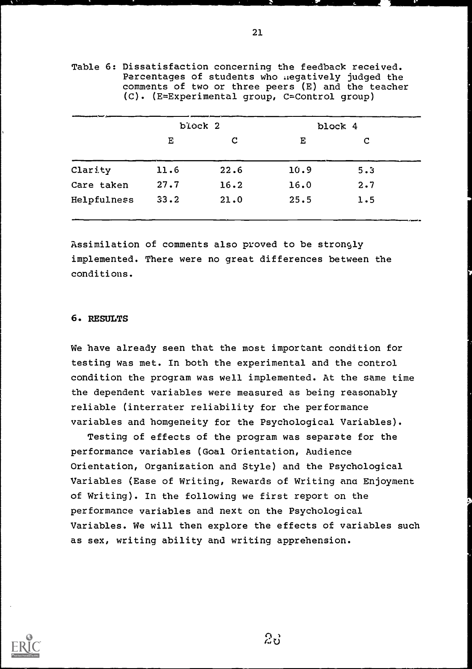|             | block 2 |      |      | block 4 |
|-------------|---------|------|------|---------|
|             | Е       | C    | Е    | C       |
| Clarity     | 11.6    | 22.6 | 10.9 | 5.3     |
| Care taken  | 27.7    | 16.2 | 16.0 | 2.7     |
| Helpfulness | 33.2    | 21.0 | 25.5 | 1.5     |

Table 6: Dissatisfaction concerning the feedback received. Percentages of students who megatively judged the comments of two or three peers (E) and the teacher (C). (E=Experimental group, C=Control group)

Assimilation of comments also proved to be strongly implemented. There were no great differences between the conditions.

# 6. RESULTS

We have already seen that the most important condition for testing was met. In both the experimental and the control condition the program was well implemented. At the same time the dependent variables were measured as being reasonably reliable (interrater reliability for the performance variables and homgeneity for the Psychological Variables).

Testing of effects of the program was separate for the performance variables (Goal Orientation, Audience Orientation, Organization and Style) and the Psychological Variables (Ease of Writing, Rewards of Writing ana Enjoyment of Writing). In the following we first report on the performance variables and next on the Psychological Variables. We will then explore the effects of variables such as sex, writing ability and writing apprehension.



 $2\delta$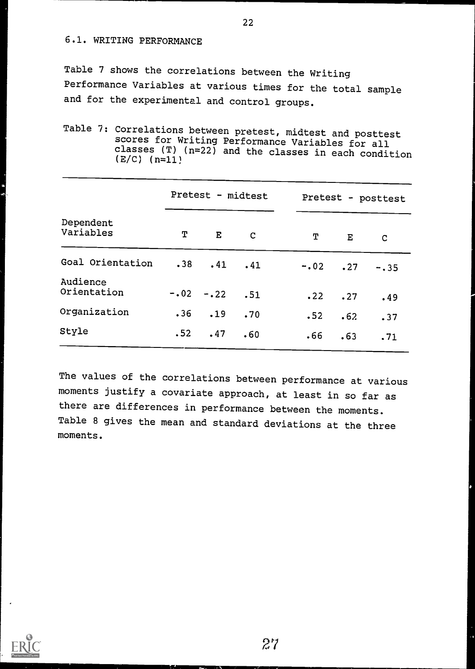# 6.1. WRITING PERFORMANCE

Table 7 shows the correlations between the Writing Performance Variables at various times for the total sample and for the experimental and control groups.

Table 7: Correlations between pretest, midtest and posttest scores for Writing Performance Variables for all classes (T) (n=22) and the classes in each condition (E/C) (n=11)

|                         | Pretest - midtest |                   |             | Pretest - posttest |              |         |
|-------------------------|-------------------|-------------------|-------------|--------------------|--------------|---------|
| Dependent<br>Variables  | T.                | E                 | $\mathbf C$ | T                  | $\mathbf{E}$ | C       |
| Goal Orientation        |                   | $.38$ $.41$ $.41$ |             |                    | $-.02-.27$   | $-0.35$ |
| Audience<br>Orientation |                   | $-.02-.22.51$     |             |                    | $.22 \t .27$ | .49     |
| Organization            |                   | $.36$ $.19$       | .70         | .52                | .62          | .37     |
| Style                   | .52               | .47               | .60         | .66                | .63          | .71     |

The values of the correlations between performance at various moments justify a covariate approach, at least in so far as there are differences in performance between the moments. Table 8 gives the mean and standard deviations at the three moments.

 $27$ 

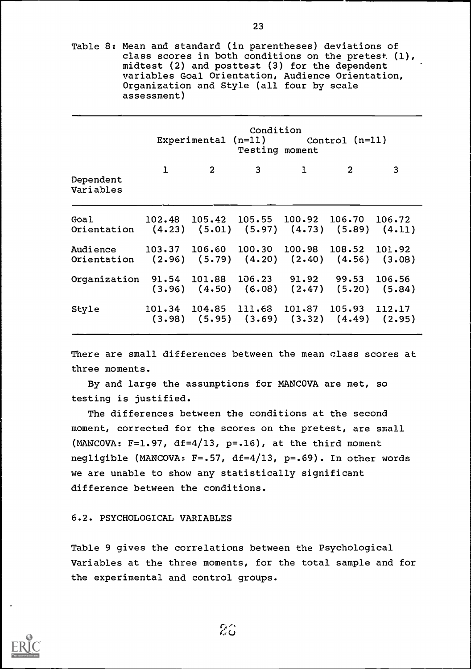Table 8: Mean and standard (in parentheses) deviations of class scores in both conditions on the pretest (1), midtest (2) and posttest (3) for the dependent variables Goal Orientation, Audience Orientation, Organization and Style (all four by scale assessment)

|                                                                                                             |   | Experimental $(n=11)$ Control $(n=11)$                                                             | Condition<br>Testing moment |              |                         |   |
|-------------------------------------------------------------------------------------------------------------|---|----------------------------------------------------------------------------------------------------|-----------------------------|--------------|-------------------------|---|
| Dependent<br>Variables                                                                                      | ı | $\sim$ 2                                                                                           | $3 \sim 3$                  | $\mathbf{1}$ | $\overline{\mathbf{2}}$ | 3 |
| Goal 102.48 105.42 105.55 100.92 106.70 106.72<br>Orientation (4.23) (5.01) (5.97) (4.73) (5.89) (4.11)     |   |                                                                                                    |                             |              |                         |   |
| Audience 103.37 106.60 100.30 100.98 108.52 101.92<br>Orientation (2.96) (5.79) (4.20) (2.40) (4.56) (3.08) |   |                                                                                                    |                             |              |                         |   |
| Organization 91.54 101.88 106.23 91.92 99.53 106.56                                                         |   | $(3.96)$ $(4.50)$ $(6.08)$ $(2.47)$ $(5.20)$ $(5.84)$                                              |                             |              |                         |   |
| Style                                                                                                       |   | 101.34 104.85 111.68 101.87 105.93 112.17<br>$(3.98)$ $(5.95)$ $(3.69)$ $(3.32)$ $(4.49)$ $(2.95)$ |                             |              |                         |   |
|                                                                                                             |   |                                                                                                    |                             |              |                         |   |

There are small differences between the mean class scores at three moments.

By and large the assumptions for MANCOVA are met, so testing is justified.

The differences between the conditions at the second moment, corrected for the scores on the pretest, are small (MANCOVA:  $F=1.97$ ,  $df=4/13$ ,  $p=.16$ ), at the third moment negligible (MANCOVA: F=.57, df=4/13, p=.69). In other words we are unable to show any statistically significant difference between the conditions.

# 6.2. PSYCHOLOGICAL VARIABLES

Table 9 gives the correlations between the Psychological Variables at the three moments, for the total sample and for the experimental and control groups.

 $2\hat{a}$ 

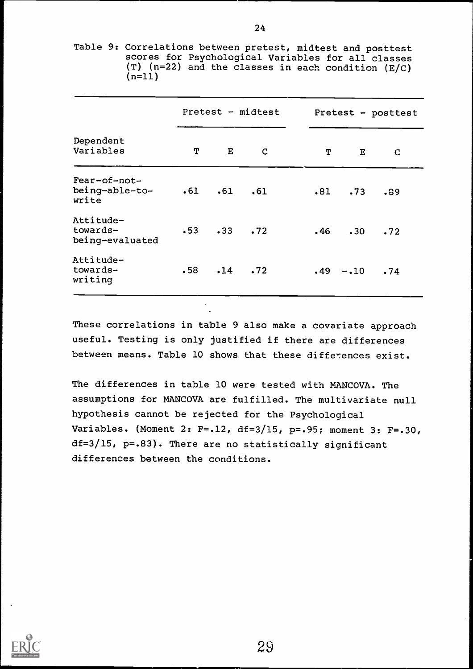Table 9: Correlations between pretest, midtest and posttest scores for Psychological Variables for all classes (T) (n=22) and the classes in each condition (E/C) (n=11)

|                                          | Pretest - midtest |                   |             | Pretest - posttest |                   |     |
|------------------------------------------|-------------------|-------------------|-------------|--------------------|-------------------|-----|
| Dependent<br>Variables                   | Т                 | $\mathbf{E}$      | $\mathbf C$ | T                  | $\mathbf{E}$      | C   |
| Fear-of-not-<br>being-able-to-<br>write  |                   | $.61$ $.61$ $.61$ |             |                    | $.81$ .73         | .89 |
| Attitude-<br>towards-<br>being-evaluated |                   | $-53$ $-33$ $-72$ |             |                    | $.46$ $.30$ $.72$ |     |
| Attitude-<br>towards-<br>writing         |                   | $.58$ $.14$ $.72$ |             |                    | $.49 - .10$       | .74 |

These correlations in table 9 also make a covariate approach useful. Testing is only justified if there are differences between means. Table 10 shows that these differences exist.

The differences in table 10 were tested with MANCOVA. The assumptions for MANCOVA are fulfilled. The multivariate null hypothesis cannot be rejected for the Psychological Variables. (Moment 2: F=.12, df=3/15, p=.95; moment 3: F=.30, df=3/15, p=.83). There are no statistically significant differences between the conditions.

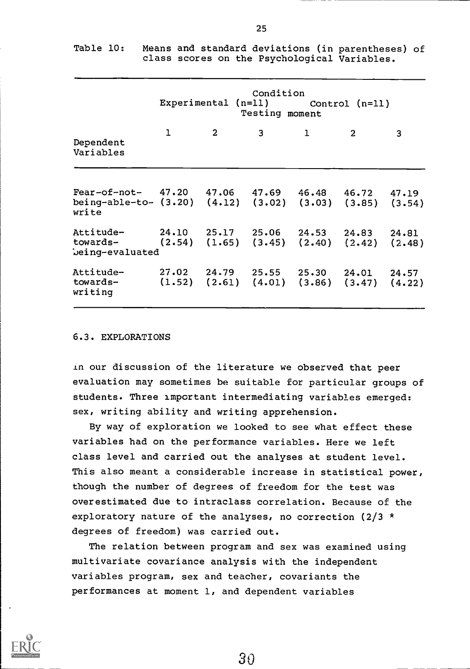|                                                                                                                   | Condition<br>Experimental $(n=11)$ Control $(n=11)$<br>Testing moment |                |                                                                                 |              |                |                 |  |
|-------------------------------------------------------------------------------------------------------------------|-----------------------------------------------------------------------|----------------|---------------------------------------------------------------------------------|--------------|----------------|-----------------|--|
| Dependent<br>Variables                                                                                            | 1                                                                     | $\overline{2}$ | 3 <sup>7</sup>                                                                  | $\mathbf{1}$ | $\overline{2}$ | 3               |  |
| $Fear-of-not-$ 47.20 47.06 47.69 46.48 46.72<br>being-able-to- (3.20) (4.12) (3.02) (3.03) (3.85) (3.54)<br>write |                                                                       |                |                                                                                 |              |                | 47.19           |  |
| Attitude- 24.10 25.17 25.06 24.53 24.83 24.81<br>towards- (2.54) (1.65) (3.45) (2.40) (2.42)<br>being-evaluated   |                                                                       |                |                                                                                 |              |                | (2.48)          |  |
| Attitude-<br>towards-<br>writing                                                                                  |                                                                       |                | $27.02$ $24.79$ $25.55$ $25.30$<br>$(1.52)$ $(2.61)$ $(4.01)$ $(3.86)$ $(3.47)$ |              | 24.01          | 24.57<br>(4.22) |  |

Table 10: Means and standard deviations (in parentheses) of class scores on the Psychological Variables.

#### 6.3. EXPLORATIONS

in our discussion of the literature we observed that peer evaluation may sometimes be suitable for particular groups of students. Three important intermediating variables emerged: sex, writing ability and writing apprehension.

By way of exploration we looked to see what effect these variables had on the performance variables. Here we left class level and carried out the analyses at student level. This also meant a considerable increase in statistical power, though the number of degrees of freedom for the test was overestimated due to intraclass correlation. Because of the exploratory nature of the analyses, no correction (2/3 \* degrees of freedom) was carried out.

The relation between program and sex was examined using multivariate covariance analysis with the independent variables program, sex and teacher, covariants the performances at moment 1, and dependent variables

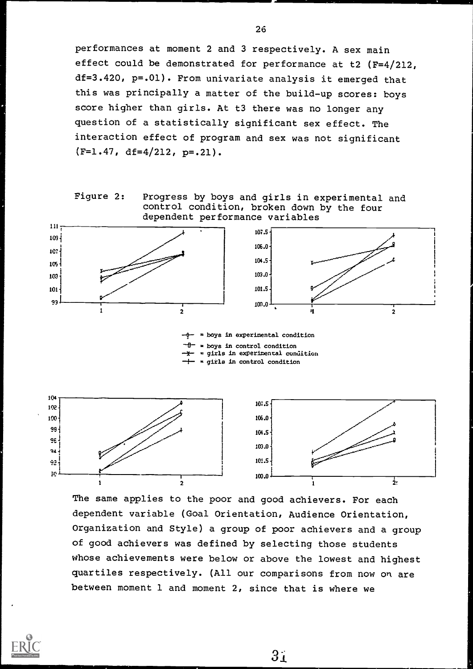performances at moment 2 and 3 respectively. A sex main effect could be demonstrated for performance at t2 (F=4/212, df=3.420, p=.01). From univariate analysis it emerged that this was principally a matter of the build-up scores: boys score higher than girls. At t3 there was no longer any question of a statistically significant sex effect. The interaction effect of program and sex was not significant  $(F=1.47, df=4/212, p=.21).$ 



Progress by boys and girls in experimental and control condition, broken down by the four dependent performance variables



 $-\theta$  = boys in experimental condition  $-\theta$  = boys in control condition ┷╈┷ = girls in experimental condition = girls in control condition



The same applies to the poor and good achievers. For each dependent variable (Goal Orientation, Audience Orientation, Organization and Style) a group of poor achievers and a group of good achievers was defined by selecting those students whose achievements were below or above the lowest and highest quartiles respectively. (All our comparisons from now on are between moment 1 and moment 2, since that is where we



 $3j$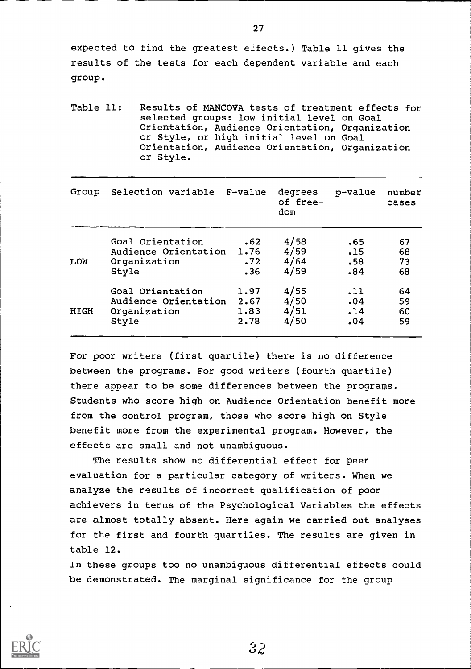expected to find the greatest effects.) Table 11 gives the results of the tests for each dependent variable and each group.

Table 11: Results of MANCOVA tests of treatment effects for selected groups: low initial level on Goal Orientation, Audience Orientation, Organization or Style, or high initial level on Goal Orientation, Audience Orientation, Organization or Style.

|                  |                                                | degrees<br>of free-<br>dom                                                                    | p-value              | number<br>cases |
|------------------|------------------------------------------------|-----------------------------------------------------------------------------------------------|----------------------|-----------------|
| Goal Orientation | .62                                            | 4/58                                                                                          | .65                  | 67              |
|                  |                                                |                                                                                               | .15                  | 68              |
|                  |                                                |                                                                                               |                      | 73              |
|                  |                                                |                                                                                               |                      | 68              |
| Goal Orientation | 1.97                                           | 4/55                                                                                          | .11                  | 64              |
|                  | 2.67                                           | 4/50                                                                                          | .04                  | 59              |
|                  | 1.83                                           | 4/51                                                                                          | .14                  | 60              |
| Style            | 2.78                                           | 4/50                                                                                          | .04                  | 59              |
|                  | Group<br>Organization<br>Style<br>Organization | Selection variable F-value<br>Audience Orientation 1.76<br>.72<br>.36<br>Audience Orientation | 4/59<br>4/64<br>4/59 | .58<br>.84      |

For poor writers (first quartile) there is no difference between the programs. For good writers (fourth quartile) there appear to be some differences between the programs. Students who score high on Audience Orientation benefit more from the control program, those who score high on Style benefit more from the experimental program. However, the effects are small and not unambiguous.

The results show no differential effect for peer evaluation for a particular category of writers. When we analyze the results of incorrect qualification of poor achievers in terms of the Psychological Variables the effects are almost totally absent. Here again we carried out analyses for the first and fourth quartiles. The results are given in table 12.

In these groups too no unambiguous differential effects could be demonstrated. The marginal significance for the group

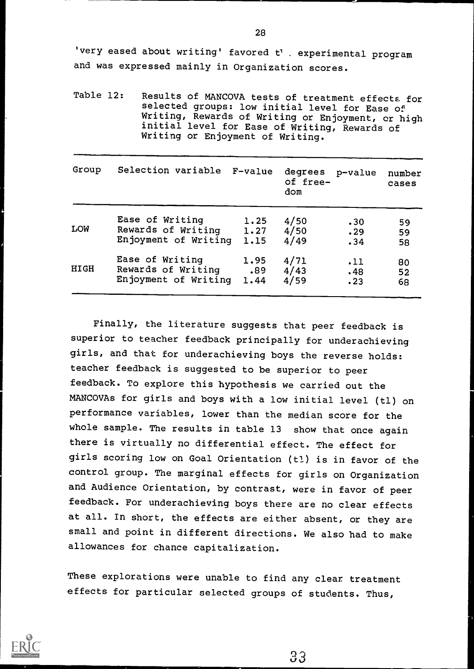'very eased about writing' favored t' . experimental program and was expressed mainly in Organization scores.

Table 12: Results of MANCOVA tests of treatment effects for selected groups: low initial level for Ease of Writing, Rewards of Writing or Enjoyment, cr high initial level for Ease of Writing, Rewards of Writing or Enjoyment of Writing.

| Group       | Selection variable   | F-value | degrees<br>of free-<br>dom | p-value | number<br>cases |
|-------------|----------------------|---------|----------------------------|---------|-----------------|
| LOW         | Ease of Writing      | 1.25    | 4/50                       | .30     | 59              |
|             | Rewards of Writing   | 1.27    | 4/50                       | .29     | 59              |
|             | Enjoyment of Writing | 1.15    | 4/49                       | .34     | 58              |
| <b>HIGH</b> | Ease of Writing      | 1.95    | 4/71                       | .11     | 80              |
|             | Rewards of Writing   | .89     | 4/43                       | .48     | 52              |
|             | Enjoyment of Writing | 1.44    | 4/59                       | .23     | 68              |

Finally, the literature suggests that peer feedback is superior to teacher feedback principally for underachieving girls, and that for underachieving boys the reverse holds: teacher feedback is suggested to be superior to peer feedback. To explore this hypothesis we carried out the MANCOVAs for girls and boys with a low initial level (ti) on performance variables, lower than the median score for the whole sample. The results in table 13 show that once again there is virtually no differential effect. The effect for girls scoring low on Goal Orientation (t1) is in favor of the control group. The marginal effects for girls on Organization and Audience Orientation, by contrast, were in favor of peer feedback. For underachieving boys there are no clear effects at all. In short, the effects are either absent, or they are small and point in different directions. We also had to make allowances for chance capitalization.

These explorations were unable to find any clear treatment effects for particular selected groups of students. Thus,

`33

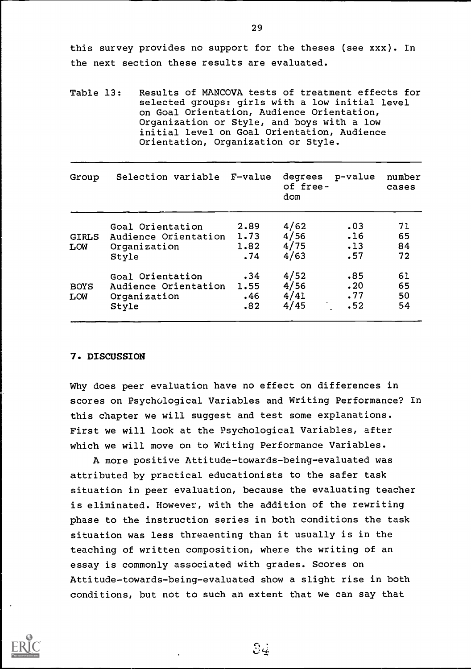this survey provides no support for the theses (see xxx). In the next section these results are evaluated.

Table 13: Results of MANCOVA tests of treatment effects for selected groups: girls with a low initial level on Goal Orientation, Audience Orientation, Organization or Style, and boys with a low initial level on Goal Orientation, Audience Orientation, Organization or Style.

| Group               | Selection variable F-value                                    |              | degrees<br>of free-<br>dom   | p-value                  | number<br>cases      |
|---------------------|---------------------------------------------------------------|--------------|------------------------------|--------------------------|----------------------|
| <b>GIRLS</b><br>LOW | Goal Orientation<br>Audience Orientation 1.73<br>Organization | 2.89<br>1.82 | 4/62<br>4/56<br>4/75<br>4/63 | .03<br>.16<br>.13<br>.57 | 71<br>65<br>84<br>72 |
| <b>BOYS</b>         | Style<br>Goal Orientation<br>Audience Orientation 1.55        | .74<br>.34   | 4/52<br>4/56                 | .85<br>.20               | 61<br>65             |
| LOW                 | Organization<br>Style                                         | .46<br>.82   | 4/41<br>4/45                 | .77<br>.52               | 50<br>54             |

#### 7. DISCUSSION

Why does peer evaluation have no effect on differences in scores on Psychological Variables and Writing Performance? In this chapter we will suggest and test some explanations. First we will look at the Psychological Variables, after which we will move on to Writing Performance Variables.

A more positive Attitude-towards-being-evaluated was attributed by practical educationists to the safer task situation in peer evaluation, because the evaluating teacher is eliminated. However, with the addition of the rewriting phase to the instruction series in both conditions the task situation was less threaenting than it usually is in the teaching of written composition, where the writing of an essay is commonly associated with grades. Scores on Attitude-towards-being-evaluated show a slight rise in both conditions, but not to such an extent that we can say that

 $\Im$ 

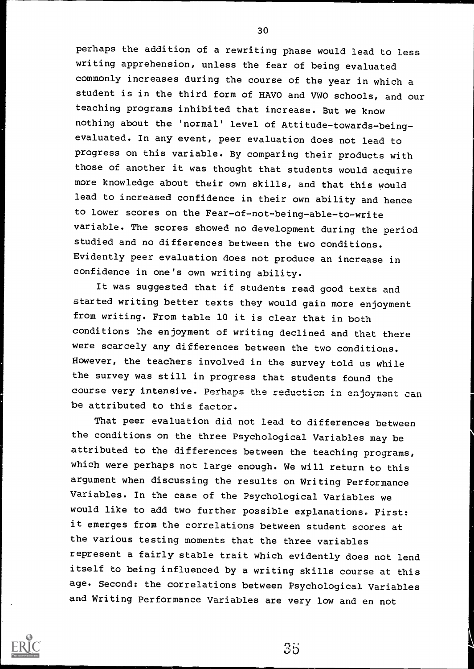perhaps the addition of a rewriting phase would lead to less writing apprehension, unless the fear of being evaluated commonly increases during the course of the year in which a student is in the third form of HAVO and VW0 schools, and our teaching programs inhibited that increase. But we know nothing about the 'normal' level of Attitude-towards-beingevaluated. In any event, peer evaluation does not lead to progress on this variable. By comparing their products with those of another it was thought that students would acquire more knowledge about their own skills, and that this would lead to increased confidence in their own ability and hence to lower scores on the Fear-of-not-being-able-to-write variable. The scores showed no development during the period studied and no differences between the two conditions. Evidently peer evaluation does not produce an increase in confidence in one's own writing ability.

It was suggested that if students read good texts and started writing better texts they would gain more enjoyment from writing. From table 10 it is clear that in both conditions the enjoyment of writing declined and that there were scarcely any differences between the two conditions. However, the teachers involved in the survey told us while the survey was still in progress that students found the course very intensive. Perhaps the reduction in enjoyment can be attributed to this factor.

That peer evaluation did not lead to differences between the conditions on the three Psychological Variables may be attributed to the differences between the teaching programs, which were perhaps not large enough. We will return to this argument when discussing the results on Writing Performance Variables. In the case of the Psychological Variables we would like to add two further possible explanations. First: it emerges from the correlations between student scores at the various testing moments that the three variables represent a fairly stable trait which evidently does not lend itself to being influenced by a writing skills course at this age. Second: the correlations between Psychological Variables and Writing Performance Variables are very low and en not



30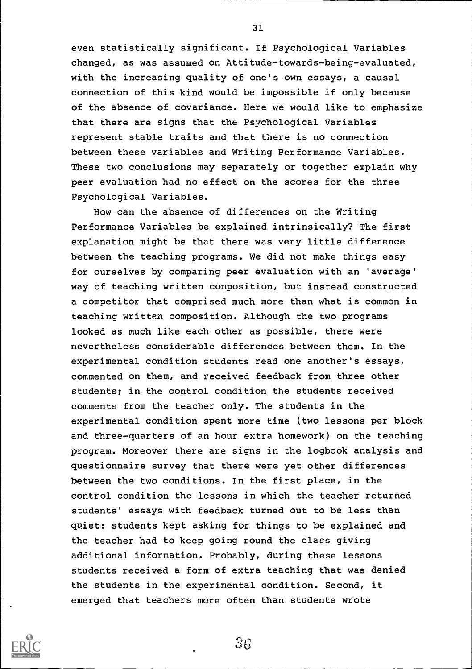even statistically significant. If Psychological Variables changed, as was assumed on Attitude-towards-being-evaluated, with the increasing quality of one's own essays, a causal connection of this kind would be impossible if only because of the absence of covariance. Here we would like to emphasize that there are signs that the Psychological Variables represent stable traits and that there is no connection between these variables and Writing Performance Variables. These two conclusions may separately or together explain why peer evaluation had no effect on the scores for the three Psychological Variables.

How can the absence of differences on the Writing Performance Variables be explained intrinsically? The first explanation might be that there was very little difference between the teaching programs. We did not make things easy for ourselves by comparing peer evaluation with an 'average' way of teaching written composition, but instead constructed a competitor that comprised much more than what is common in teaching written composition. Although the two programs looked as much like each other as possible, there were nevertheless considerable differences between them. In the experimental condition students read one another's essays, commented on them, and received feedback from three other students; in the control condition the students received comments from the teacher only. The students in the experimental condition spent more time (two lessons per block and three-quarters of an hour extra homework) on the teaching program. Moreover there are signs in the logbook analysis and questionnaire survey that there were yet other differences between the two conditions. In the first place, in the control condition the lessons in which the teacher returned students' essays with feedback turned out to be less than quiet: students kept asking for things to be explained and the teacher had to keep going round the class giving additional information. Probably, during these lessons students received a form of extra teaching that was denied the students in the experimental condition. Second, it emerged that teachers more often than students wrote

31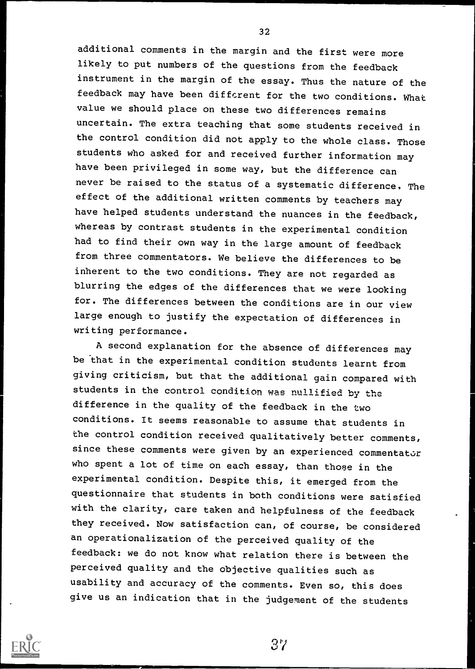additional comments in the margin and the first were more likely to put numbers of the questions from the feedback instrument in the margin of the essay. Thus the nature of the feedback may have been different for the two conditions. What value we should place on these two differences remains uncertain. The extra teaching that some students received in the control condition did not apply to the whole class. Those students who asked for and received further information may have been privileged in some way, but the difference can never be raised to the status of a systematic difference, The effect of the additional written comments by teachers may have helped students understand the nuances in the feedback, whereas by contrast students in the experimental condition had to find their own way in the large amount of feedback from three commentators. We believe the differences to be inherent to the two conditions. They are not regarded as blurring the edges of the differences that we were looking for. The differences between the conditions are in our view large enough to justify the expectation of differences in writing performance.

A second explanation for the absence of differences may be that in the experimental condition students learnt from giving criticism, but that the additional gain compared with students in the control condition was nullified by the difference in the quality of the feedback in the two conditions. It seems reasonable to assume that students in the control condition received qualitatively better comments, since these comments were given by an experienced commentator who spent a lot of time on each essay, than those in the experimental condition. Despite this, it emerged from the questionnaire that students in both conditions were satisfied with the clarity, care taken and helpfulness of the feedback they received. Now satisfaction can, of course, be considered an operationalization of the perceived quality of the feedback: we do not know what relation there is between the perceived quality and the objective qualities such as usability and accuracy of the comments. Even so, this does give us an indication that in the judgement of the students



32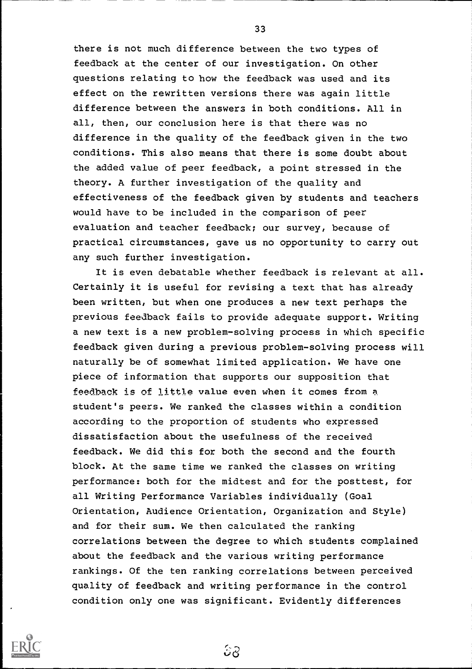there is not much difference between the two types of feedback at the center of our investigation. On other questions relating to how the feedback was used and its effect on the rewritten versions there was again little difference between the answers in both conditions. All in all, then, our conclusion here is that there was no difference in the quality of the feedback given in the two conditions. This also means that there is some doubt about the added value of peer feedback, a point stressed in the theory. A further investigation of the quality and effectiveness of the feedback given by students and teachers would have to be included in the comparison of peer evaluation and teacher feedback; our survey, because of practical circumstances, gave us no opportunity to carry out any such further investigation.

It is even debatable whether feedback is relevant at all. Certainly it is useful for revising a text that has already been written, but when one produces a new text perhaps the previous feedback fails to provide adequate support. Writing a new text is a new problem-solving process in which specific feedback given during a previous problem-solving process will naturally be of somewhat limited application. We have one piece of information that supports our supposition that feedback is of little value even when it comes from a student's peers. We ranked the classes within a condition according to the proportion of students who expressed dissatisfaction about the usefulness of the received feedback. We did this for both the second and the fourth block. At the same time we ranked the classes on writing performance: both for the midtest and for the posttest, for all Writing Performance Variables individually (Goal Orientation, Audience Orientation, Organization and Style) and for their sum. We then calculated the ranking correlations between the degree to which students complained about the feedback and the various writing performance rankings. Of the ten ranking correlations between perceived quality of feedback and writing performance in the control condition only one was significant. Evidently differences

င်ဂ

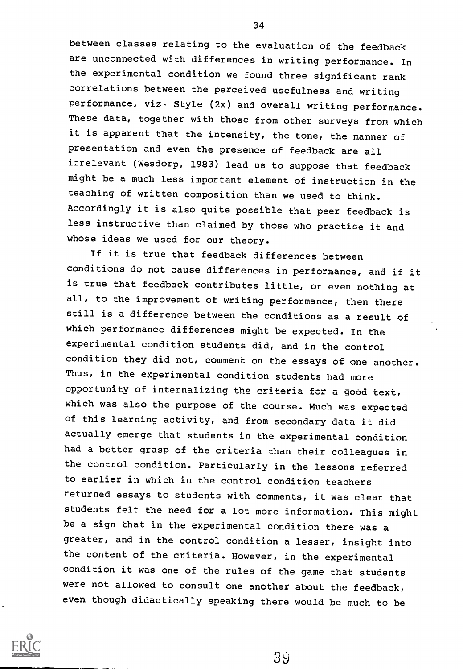between classes relating to the evaluation of the feedback are unconnected with differences in writing performance. In the experimental condition we found three significant rank correlations between the perceived usefulness and writing performance, viz- Style (2x) and overall writing performance. These data, together with those from other surveys from which it is apparent that the intensity, the tone, the manner of presentation and even the presence of feedback are all irrelevant (Wesdorp, 1983) lead us to suppose that feedback might be a much less important element of instruction in the teaching of written composition than we used to think. Accordingly it is also quite possible that peer feedback is less instructive than claimed by those who practise it and whose ideas we used for our theory.

If it is true that feedback differences between conditions do not cause differences in performance, and if it is true that feedback contributes little, or even nothing at all, to the improvement of writing performance, then there still is a difference between the conditions as a result of which performance differences might be expected. In the experimental condition students did, and in the control condition they did not, comment on the essays of one another. Thus, in the experimental condition students had more opportunity of internalizing the criteria for a good text, which was also the purpose of the course. Much was expected of this learning activity, and from secondary data it did actually emerge that students in the experimental condition had a better grasp of the criteria than their colleagues in the control condition. Particularly in the lessons referred to earlier in which in the control condition teachers returned essays to students with comments, it was clear that students felt the need for a lot more information. This might be a sign that in the experimental condition there was a greater, and in the control condition a lesser, insight into the content of the criteria. However, in the experimental condition it was one of the rules of the game that students were not allowed to consult one another about the feedback, even though didactically speaking there would be much to be



34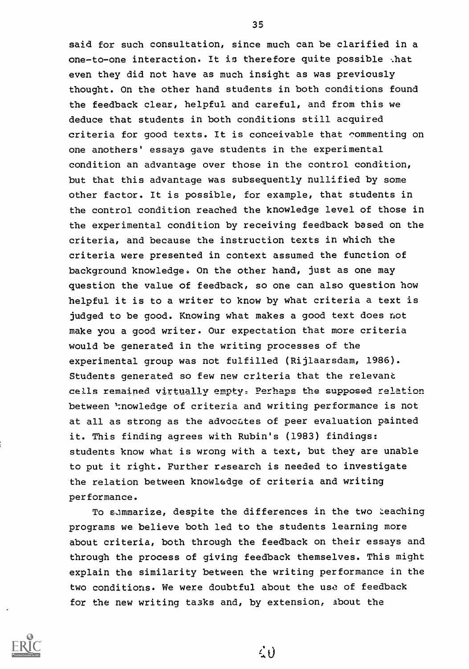said for such consultation, since much can be clarified in a one-to-one interaction. It is therefore quite possible -.hat even they did not have as much insight as was previously thought. On the other hand students in both conditions found the feedback clear, helpful and careful, and from this we deduce that students in both conditions still acquired criteria for good texts. It is conceivable that commenting on one anothers' essays gave students in the experimental condition an advantage over those in the control condition, but that this advantage was subsequently nullified by some other factor. It is possible, for example, that students in the control condition reached the knowledge level of those in the experimental condition by receiving feedback based on the criteria, and because the instruction texts in which the criteria were presented in context assumed the function of background knowledge. On the other hand, just as one may question the value of feedback, so one can also question how helpful it is to a writer to know by what criteria a text is judged to be good. Knowing what makes a good text does not make you a good writer. Our expectation that more criteria would be generated in the writing processes of the experimental group was not fulfilled (Rijlaarsdam, 1986). Students generated so few new criteria that the relevant cells remained virtually empty. Perhaps the supposed relation between ':nowledge of criteria and writing performance is not at all as strong as the advocates of peer evaluation painted it. This finding agrees with Rubin's (1983) findings: students know what is wrong with a text, but they are unable to put it right. Further rasearch is needed to investigate the relation between knowledge of criteria and writing performance.

To summarize, despite the differences in the two teaching programs we believe both led to the students learning more about criteria, both through the feedback on their essays and through the process of giving feedback themselves. This might explain the similarity between the writing performance in the two conditions. We were doubtful about the use of feedback for the new writing tasks and, by extension, about the



35

 $\leq t$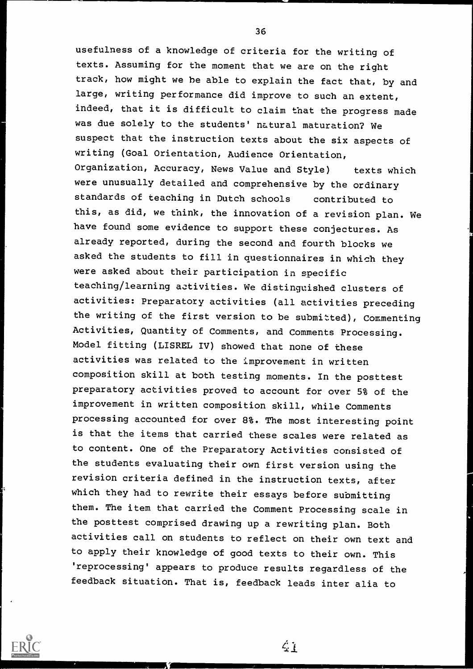usefulness of a knowledge of criteria for the writing of texts. Assuming for the moment that we are on the right track, how might we be able to explain the fact that, by and large, writing performance did improve to such an extent, indeed, that it is difficult to claim that the progress made was due solely to the students' natural maturation? We suspect that the instruction texts about the six aspects of writing (Goal Orientation, Audience Orientation, Organization, Accuracy, News Value and Style) texts which were unusually detailed and comprehensive by the ordinary standards of teaching in Dutch schools contributed to this, as did, we think, the innovation of a revision plan. We have found some evidence to support these conjectures. As already reported, during the second and fourth blocks we asked the students to fill in questionnaires in which they were asked about their participation in specific teaching/learning activities. We distinguished clusters of activities: Preparatory activities (all activities preceding the writing of the first version to be submitted), Commenting Activities, Quantity of Comments, and Comments Processing. Model fitting (LISREL IV) showed that none of these activities was related to the improvement in written composition skill at both testing moments. In the posttest preparatory activities proved to account for over 5% of the improvement in written composition skill, while Comments processing accounted for over 8%. The most interesting point is that the items that carried these scales were related as to content. One of the Preparatory Activities consisted of the students evaluating their own first version using the revision criteria defined in the instruction texts, after which they had to rewrite their essays before submitting them. The item that carried the Comment Processing scale in the posttest comprised drawing up a rewriting plan. Both activities call on students to reflect on their own text and to apply their knowledge of good texts to their own. This 'reprocessing' appears to produce results regardless of the feedback situation. That is, feedback leads inter alia to

"111111111111111=

 $\mathcal{L}$  i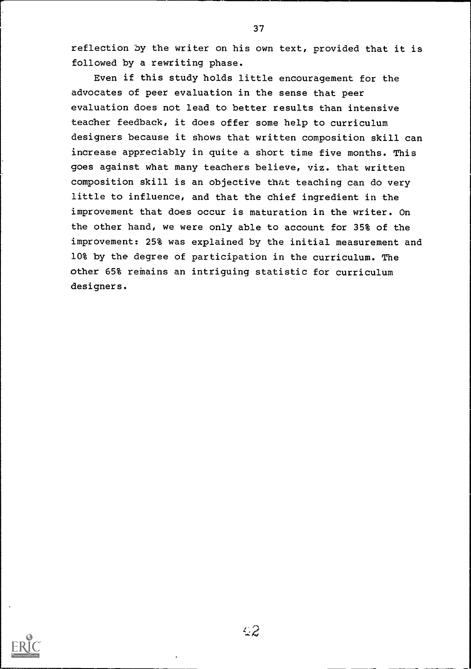reflection by the writer on his own text, provided that it is followed by a rewriting phase.

Even if this study holds little encouragement for the advocates of peer evaluation in the sense that peer evaluation does not lead to better results than intensive teacher feedback, it does offer some help to curriculum designers because it shows that written composition skill can increase appreciably in quite a short time five months. This goes against what many teachers believe, viz. that written composition skill is an objective that teaching can do very little to influence, and that the chief ingredient in the improvement that does occur is maturation in the writer. On the other hand, we were only able to account for 35% of the improvement: 25% was explained by the initial measurement and 10% by the degree of participation in the curriculum. The other 65% remains an intriguing statistic for curriculum designers.



 $42$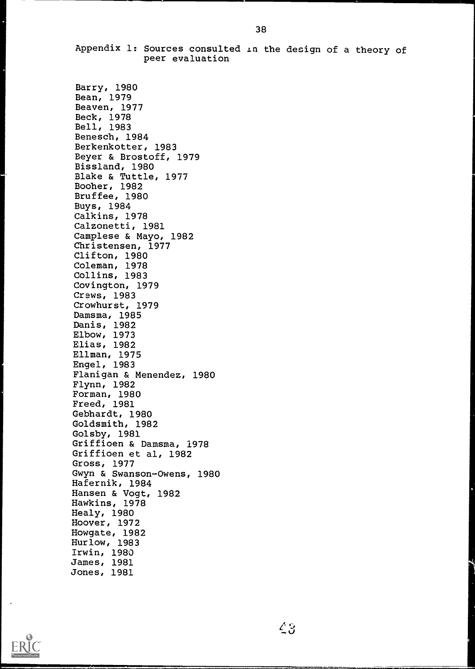Appendix 1: Sources consulted in the design of a theory of peer evaluation

Barry, 1980 Bean, 1979 Beaven, 1977 Beck, 1978 Bell, 1983 Benesch, 1984 Berkenkotter, 1983 Beyer & Brostoff, 1979 Bissland, 1980 Blake & Tuttle, 1977 Booher, 1982 Bruffee, 1980 Buys, 1984 Calkins, 1978 Calzonetti, 1981 Camplese & Mayo, 1982 Christensen, 1977 Clifton, 1980 Coleman, 1978 Collins, 1983 Covington, 1979 Craws, 1983 Crowhurst, 1979 Damsma, 1985 Danis, 1982 Elbow, 1973 Elias, 1982 Ellman, 1975 Engel, 1983 Flanigan & Menendez, 1980 Flynn, 1982 Forman, 1980 Freed, 1981 Gebhardt, 1980 Goldsmith, 1982 Golsby, 1981 Griffioen & Damsma, 1978 Griffioen et al, 1982 Gross, 1977 Gwyn & Swanson-Owens, 1980 Hafernik, 1984 Hansen & Vogt, 1982 Hawkins, 1978 Healy, 1980 Hoover, 1972 Howgate, 1982 Hurlow, 1983 Irwin, 1980 James, 1981 Jones, 1981



 $43$ 

|<br>|<br>|----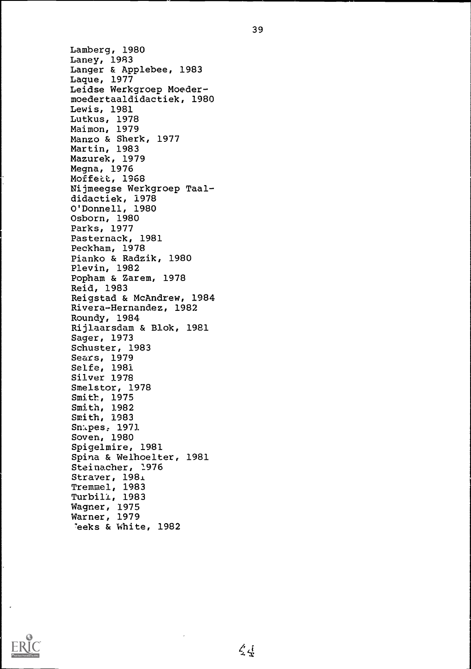Lamberg, 1980 Laney, 1983 Langer & Applebee, 1983 Lague, 1977 Leidse Werkgroep Moedermoedertaaldidactiek, 1980 Lewis, 1981 Lutkus, 1978 Maimon, 1979 Manzo & Sherk, 1977 Martin, 1983 Mazurek, 1979 Megna, 1976 Moffett, 1968 Nijmeegse Werkgroep Taaldidactiek, 1978 O'Donnell, 1980 Osborn, 1980 Parks, 1977 Pasternack, 1981 Peckham, 1978 Pianko & Radzik, 1980 Plevin, 1982 Popham & Zarem, 1978 Reid, 1983 Reigstad & McAndrew, 1984 Rivera-Hernandez, 1982 Roundy, 1984 Rijlaarsdam & Blok, 1981 Sager, 1973 Schuster, 1983 Sears, 1979 Seife, 1981 Silver 1978 Smelstor, 1978 Smith, 1975 Smith, 1982 Smith, 1983 Sm.pes, 1971 Soven, 1980 Spigelmire, 1981 Spina & Welhoelter, 1981 Steinacher, 1976 Strayer, 1981 Tremmel, 1983 Turbili, 1983 Wagner, 1975 Warner, 1979 'eeks & White, 1982

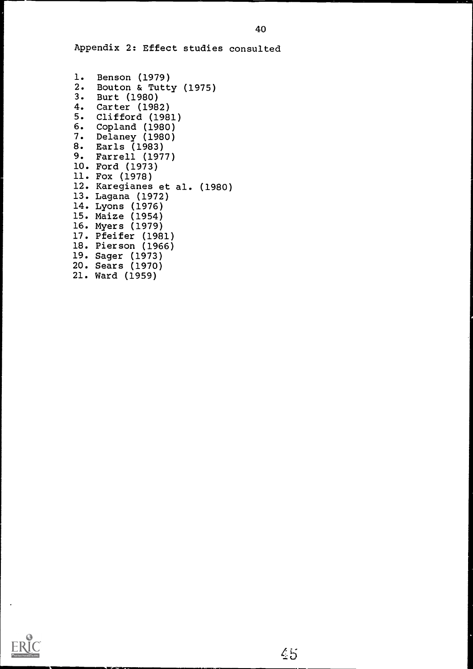Appendix 2: Effect studies consulted

```
1. Benson (1979)
2. Bouton & Tutty (1975)
3. Burt (1980)
4. Carter (1982)
5. Clifford (1981)
6. Copland (1980)
7. Delaney (1980)
8. Earls (1983)
9. Farrell (1977)
10. Ford (1973)
11. Fox (1978)
12. Karegianes et al. (1980)
13. Lagana (1972)
14. Lyons (1976)
15. Maize (1954)
16. Myers (1979)
17. Pfeifer (1981)
18. Pierson (1966)
19. Sager (1973)
20. Sears (1970)
21. Ward (1959)
```
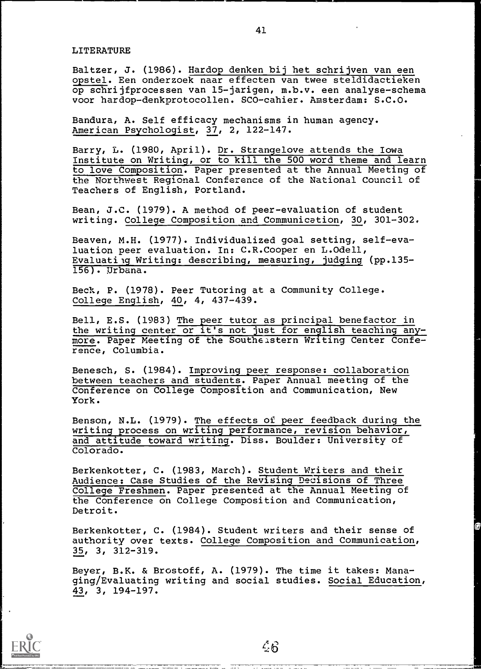#### LITERATURE

Baltzer, J. (1986). Hardop denken bij het schrijven van een opstel. Een onderzoek naar effecten van twee steldidactieken op schrijfprocessen van 15-jarigen, m.b.v. een analyse-schema voor hardop-denkprotocollen. SCO-cahier. Amsterdam: S.C.O.

Bandura, A. Self efficacy mechanisms in human agency. American Psychologist, 37, 2, 122-147.

Barry, L. (1980, April). Dr. Strangelove attends the Iowa Institute on Writing, or to kill the 500 word theme and learn to love Composition. Paper presented at the Annual Meeting of the Northwest Regional Conference of the National Council of Teachers of English, Portland.

Bean, J.C. (1979). A method of peer-evaluation of student writing. College Composition and Communication, 30, 301-302.

Beaven, M.H. (1977). Individualized goal setting, self-evaluation peer evaluation. In: C.R.Cooper en L.Odell, Evaluating Writing: describing, measuring, judging (pp.135- 156). Urbana.

Beck, P. (1978). Peer Tutoring at a Community College. College English, 40, 4, 437-439.

Bell, E.S. (1983) The peer tutor as principal benefactor in the writing center or it's not just for english teaching any more. Paper Meeting of the Southeastern Writing Center Conference, Columbia.

Benesch, S. (1984). Improving peer response: collaboration between teachers and students. Paper Annual meeting of the Conference on College Composition and Communication, New York.

Benson, N.L. (1979). The effects of peer feedback during the writing process on writing performance, revision behavior, and attitude toward writing. Diss. Boulder: University of Colorado.

Berkenkotter, C. (1983, March). Student Writers and their Audience: Case Studies of the Revising Decisions of Three College Freshmen. Paper presented at the Annual Meeting of the Conference on College Composition and Communication, Detroit.

Berkenkotter, C. (1984). Student writers and their sense of authority over texts. College Composition and Communication, 35, 3, 312-319.

Beyer, B.K. & Brostoff, A. (1979). The time it takes: Managing/Evaluating writing and social studies. Social Education, 43, 3, 194-197.



 $\mathcal{L}6$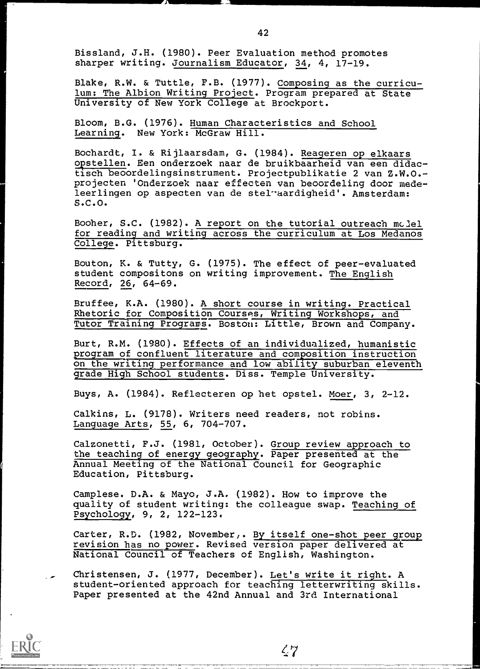Bissland, J.H. (1980). Peer Evaluation method promotes sharper writing. Journalism Educator, 34, 4, 17-19.

JIMMI MARKAT SA KATA LA MARKAT KATA LA MARKAT ANG KATA MARKAT ANG KATA MARKAT ANG KATA MARKAT ANG KATA MARKAT ANG KATA MARKAT ANG KATA MARKAT ANG KATA MARKAT ANG KATA MARKAT ANG KATA MARKAT ANG KATA MARKAT ANG KATA MARKAT

Blake, R.W. & Tuttle, F.B. (1977). Composing as the curriculum: The Albion Writing Project. Program prepared at State University of New York College at Brockport.

Bloom, B.G. (1976). Human Characteristics and School Learning. New York: McGraw Hill.

Bochardt, I. & Rijlaarsdam, G. (1984). Reageren op elkaars opstellen. Een onderzoek naar de bruikbaarheid van een didactisch beoordelingsinstrument. Projectpublikatie 2 van Z.W.0. projecten 'onderzoek naar effecten van beoordeling door medeleerlingen op aspecten van de stel aardigheid'. Amsterdam: S.C.O.

Booher, S.C. (1982). A report on the tutorial outreach model for reading and writing across the curriculum at Los Medanos College. Pittsburg.

Bouton, K. & Tutty, G. (1975). The effect of peer-evaluated student compositons on writing improvement. The English Record, 26, 64-69.

Bruffee, K.A. (1980). A short course in writing. Practical Rhetoric for Composition Courses, Writing Workshops, and Tutor Training Programs. Boston: Little, Brown and Company.

Burt, R.M. (1980). Effects of an individualized, humanistic program of confluent literature and composition instruction on the writing performance and low ability suburban eleventh grade High School students. Diss. Temple University.

Buys, A. (1984). Reflecteren op het opstel. Moer, 3, 2-12.

Calkins, L. (9178). Writers need readers, not robins. Language Arts, 55, 6, 704-707.

Calzonetti, F.J. (1981, October). Group review approach to the teaching of energy geography. Paper presented at the Annual Meeting of the National Council for Geographic Education, Pittsburg.

Camplese. D.A. & Mayo, J.A. (1982). How to improve the quality of student writing: the colleague swap. Teaching of Psychology, 9, 2, 122-123.

Carter, R.D. (1982, November,. By itself one-shot peer group revision has no power. Revised version paper delivered at National Council of Teachers of English, Washington.

Christensen, J. (1977, December). Let's write it right. A student-oriented approach for teaching letterwriting skills. Paper presented at the 42nd Annual and 3rd International



 $\zeta$ 7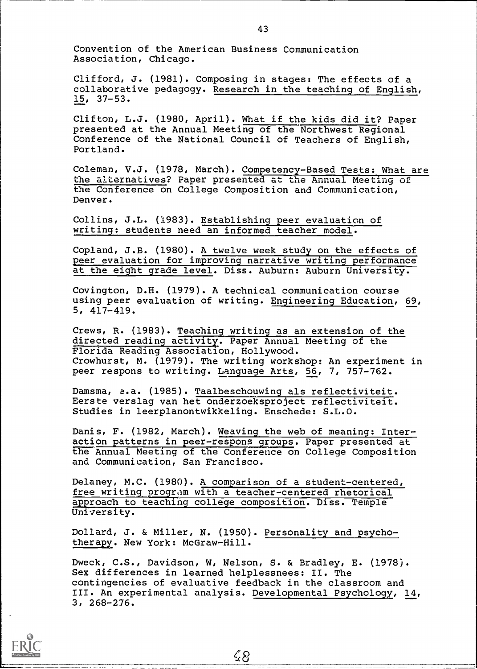Convention of the American Business Communication Association, Chicago.

Clifford, J. (1981). Composing in stages: The effects of a collaborative pedagogy. Research in the teaching of English, 15, 37-53.

Clifton, L.J. (1980, April). What if the kids did it? Paper presented at the Annual Meeting of the Northwest Regional Conference of the National Council of Teachers of English, Portland.

Coleman, V.J. (1978, March). Competency-Based Tests: What are the alternatives? Paper presented at the Annual Meeting of the Conference on College Composition and Communication, Denver.

Collins, J.L. (1983). Establishing peer evaluation of writing: students need an informed teacher model.

Copland, J.B. (1980). A twelve week study on the effects of peer evaluation for improving narrative writing performance at the eight grade level. Diss. Auburn: Auburn University.

Covington, D.H. (1979). A technical communication course using peer evaluation of writing. Engineering Education, 69, 5, 417-419.

Crews, R. (1983). Teaching writing as an extension of the directed reading activity. Paper Annual Meeting of the Florida Reading Association, Hollywood. Crowhurst, M. (1979). The writing workshop: An experiment in peer respons to writing. Language Arts, 56, 7, 757-762.

Damsma, a.a. (1985). Taalbeschouwing als reflectiviteit. Eerste verslag van het onderzoeksproject reflectiviteit. Studies in leerplanontwikkeling. Enschede: S.L.O.

Danis, F. (1982, March). Weaving the web of meaning: Interaction patterns in peer-respons groups. Paper presented at the Annual Meeting of the Conference on College Composition and Communication, San Francisco.

Delaney, M.C. (1980). A comparison of a student-centered, free writing program with a teacher-centered rhetorical approach to teaching college composition. Diss. Temple University.

Dollard, J. & Miller, N. (1950). Personality and psychotherapy. New York: McGraw-Hill.

Dweck, C.S., Davidson, W, Nelson, S. & Bradley, E. (1978). Sex differences in learned helplessnees: II. The contingencies of evaluative feedback in the classroom and III. An experimental analysis. Developmental Psychology, 14, 3, 268-276.

 $4.8$ 

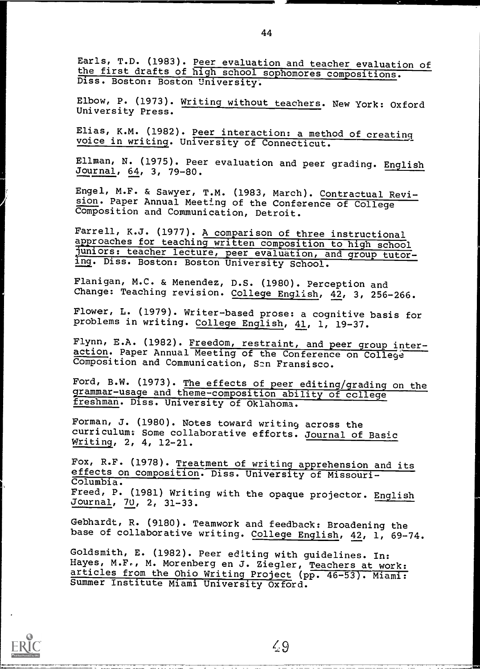Earls, T.D. (1983). Peer evaluation and teacher evaluation of the first drafts of high school sophomores compositions. Diss. Boston: Boston University.

Elbow, P. (1973). Writing without teachers. New York: Oxford University Press.

Elias, K.M. (1982). Peer interaction: a method of creating voice in writing. University of Connecticut.

Ellman, N. (1975). Peer evaluation and peer grading. English Journal, 64, 3, 79-80.

Engel, M.F. & Sawyer, T.M. (1983, March). Contractual Revision. Paper Annual Meeting of the Conference of College Composition and Communication, Detroit.

Farrell, K.J. (1977). A comparison of three instructional approaches for teaching written composition to high school juniors: teacher lecture, peer evaluation, and group tutoring. Diss. Boston: Boston University School.

Flanigan, M.C. & Menendez, D.S. (1980). Perception and ------ .<br>Change: Teaching revision. College English, 42, 3, 256-266.

Flower, L. (1979). Writer-based prose: a cognitive basis for problems in writing. College English, 41, 1, 19-37.

Flynn, E.A. (1982). Freedom, restraint, and peer group interaction. Paper Annual Meeting of the Conference on College Composition and Communication, San Fransisco.

Ford, B.W. (1973). The effects of peer editing/grading on the grammar-usage and theme-composition ability of ccllege freshman. Diss. University of Oklahoma.

Forman, J. (1980). Notes toward writing across the curriculum: Some collaborative efforts. Journal of Basic Writing, 2, 4, 12-21.

Fox, R.F. (1978). Treatment of writing apprehension and its effects on composition. Diss. University of Missouri-Columbia. Freed, P. (1981) Writing with the opaque projector. English Journal, 70, 2, 31-33.

Gebhardt, R. (9180). Teamwork and feedback: Broadening the base of collaborative writing. College English, 42, 1, 69-74.

Goldsmith, E. (1982). Peer editing with guidelines. In: Hayes, M.F., M. Morenberg en J. Ziegler, Teachers at work: articles from the Ohio Writing Project (pp. 46-53). Miami: Summer Institute Miami University Oxford.



44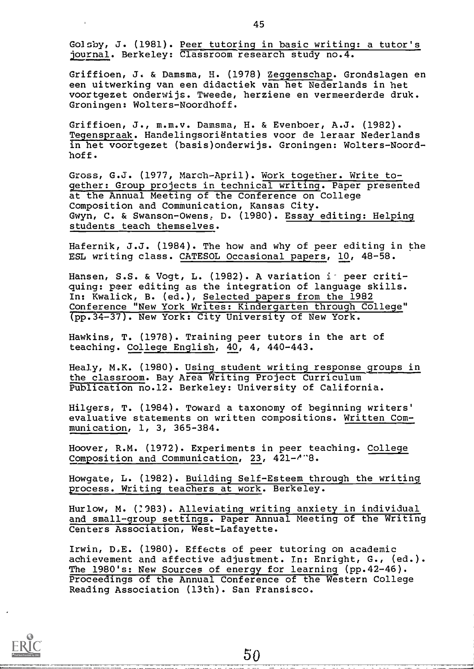Golsby, J. (1981). Peer tutoring in basic writing: a tutor's journal. Berkeley: Classroom research study no.4.

Griffioen, J. & Damsma, H. (1978) Zeggenschap. Grondslagen en een uitwerking van een didactiek van het Nederlands in het voortgezet onderwijs. Tweede, herziene en vermeerderde druk. Groningen: Wolters-Noordhoff.

Griffioen, J., m.m.v. Damsma, H. & Evenboer, A.J. (1982). Tegenspraak. Handelingsorientaties voor de leraar Nederlands in het voortgezet (basis)onderwijs. Groningen: Wolters-Noordhoff.

Gross, G.J. (1977, March-April). Work together. Write together: Group projects in technical writing. Paper presented at the Annual Meeting of the Conference on College Composition and Communication, Kansas City. Gwyn, C. & Swanson-Owens, D. (1980). Essay editing: Helping students teach themselves.

Hafernik, J.J. (1984). The how and why of peer editing in the ESL writing class. CATESOL Occasional papers, 10, 48-58.

Hansen, S.S. & Vogt, L. (1982). A variation in peer critiquing: peer editing as the integration of language skills. In: Kwalick, B. (ed.), Selected papers from the 1982 Conference "New York Writes: Kindergarten through College" (pp.34-37). New York: City University of New York.

Hawkins, T. (1978). Training peer tutors in the art of teaching. College English, 40, 4, 440-443.

Healy, M.K. (1980). Using student writing response groups in the classroom. Bay Area Writing Project Curriculum Publication no.12. Berkeley: University of California.

Hilgers, T. (1984). Toward a taxonomy of beginning writers' evaluative statements on written compositions. Written Communication, 1, 3, 365-384.

Hoover, R.M. (1972). Experiments in peer teaching. College Composition and Communication, 23, 421-/"8.

Howgate, L. (1982). Building Self-Esteem through the writing process. Writing teachers at work. Berkeley.

Hurlow, M. (?983). Alleviating writing anxiety in individual and small-group settings. Paper Annual Meeting of the Writing Centers Association, West-Lafayette.

Irwin, D.E. (1980). Effects of peer tutoring on academic achievement and affective adjustment. In: Enright, G., (ed.). The 1980's: New Sources of energy for learning (pp.42-46). Proceedings of the Annual Conference of the Western College Reading Association (13th). San Fransisco.

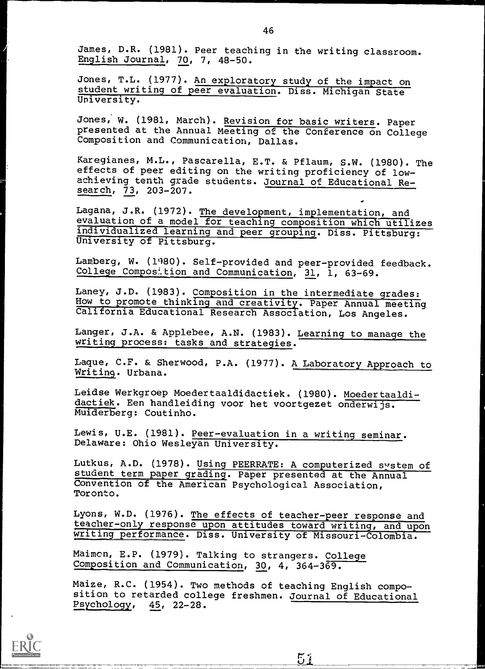James, D.R. (1981). Peer teaching in the writing classroom. English Journal, 70, 7, 48-50.

Jones, T.L. (1977). An exploratory study of the impact on student writing of peer evaluation. Diss. Michigan State University.

Jones, W. (1981, March). Revision for basic writers. Paper presented at the Annual Meeting of the Conference on College Composition and Communication, Dallas.

Karegianes, M.L., Pascarella, E.T. & Pflaum, S.W. (1980). The effects of peer editing on the writing proficiency of lowachieving tenth grade students. Journal of Educational Research, 73, 203-207.

Lagana, J.R. (1972). The development, implementation, and evaluation of a model for teaching composition which utilizes individualized learning and peer grouping. Diss. Pittsburg: University of Pittsburg.

Lamberg, W. (11)80). Self-provided and peer-provided feedback. College Composition and Communication, 31, 1, 63-69.

Laney, J.D. (1983). Composition in the intermediate grades: How to promote thinking and creativity. Paper Annual meeting California Educational Research Association, Los Angeles.

Langer, J.A. & Applebee, A.N. (1983). Learning to manage the writing process: tasks and strategies.

Lague, C.F. & Sherwood, P.A. (1977). A Laboratory Approach to Writing. Urbana.

Leidse Werkgroep Moedertaaldidactiek. (1980). Moedertaaldidactiek. Een handleiding voor het voortgezet onderwijs. Muiderberg: Coutinho.

Lewis, U.E. (1981). Peer-evaluation in a writing seminar. Delaware: Ohio Wesleyan University.

Lutkus, A.D. (1978). Using PEERRATE: A computerized system of student term paper grading. Paper presented at the Annual Convention of the American Psychological Association, Toronto.

Lyons, W.D. (1976). The effects of teacher-peer response and teacher-only response upon attitudes toward writing, and upon writing performance. Diss. University of Missouri-Colombia.

Maimon, E.P. (1979). Talking to strangers. College Composition and Communication, 30, 4, 364-369.

Maize, R.C. (1954). Two methods of teaching English composition to retarded college freshmen. Journal of Educational Psychology, 45, 22-28.

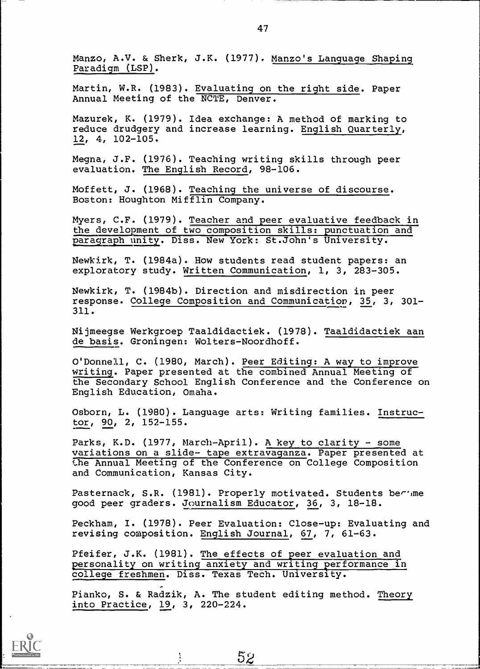Manzo, A.V. & Sherk, J.K. (1977). Manzo's Language Shaping Paradigm (LSP).

Martin, W.R. (1983). Evaluating on the right side. Paper Annual Meeting of the NCTE, Denver.

Mazurek, K. (1979). Idea exchange: A method of marking to reduce drudgery and increase learning. English Quarterly, 12, 4, 102-105.

Megna, J.F. (1976). Teaching writing skills through peer evaluation. The English Record, 98-106.

Moffett, J. (1968). Teaching the universe of discourse. Boston: Houghton Mifflin Company.

Myers, C.F. (1979). Teacher and peer evaluative feedback in the development of two composition skills: punctuation and paragraph unity. Diss. New York: St.John's University.

Newkirk, T. (1984a). How students read student papers: an exploratory study. Written Communication, 1, 3, 283-305.

Newkirk, T. (1984b). Direction and misdirection in peer response. College Composition and Communication, 35, 3, 301- 311.

Nijmeegse Werkgroep Taaldidactiek. (1978). Taaldidactiek aan de basis. Groningen: Wolters-Noordhoff.

O'Donnell, C. (1980, March). Peer Editing: A way to improve writing. Paper presented at the combined Annual Meeting of the Secondary School English Conference and the Conference on English Education, Omaha.

Osborn, L. (1980). Language arts: Writing families. Instructor, 90, 2, 152-155.

Parks, K.D. (1977, March-April). A key to clarity - some variations on a slide- tape extravaganza. Paper presented at the Annual Meeting of the Conference on College Composition and Communication, Kansas City.

Pasternack, S.R. (1981). Properly motivated. Students berime good peer graders. Journalism Educator, 36, 3, 18-18.

Peckham, I. (1978). Peer Evaluation: Close-up: Evaluating and revising composition. English Journal, 67, 7, 61-63.

Pfeifer, J.K. (1981). The effects of peer evaluation and personality on writing anxiety and writing performance in college freshmen. Diss. Texas Tech. University.

Pianko, S. & Radzik, A. The student editing method. Theory into Practice, 19, 3, 220-224.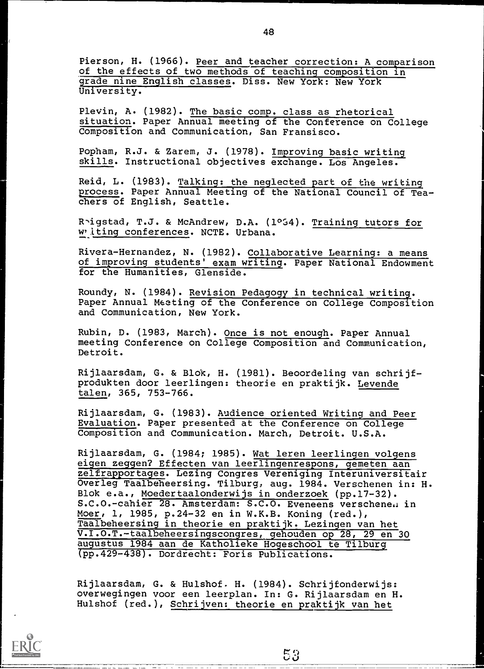Pierson, H. (1966). Peer and teacher correction: A comparison of the effects of two methods of teaching composition in grade nine English classes. Diss. New York: New York University.

Plevin, A. (1982). The basic comp. class as rhetorical situation. Paper Annual meeting of the Conference on College Composition and Communication, San Fransisco.

Popham, R.J. & Zarem, J. (1978). Improving basic writing skills. Instructional objectives exchange. Los Angeles.

Reid, L. (1983). Talking: the neglected part of the writing process. Paper Annual Meeting of the National Council of Teachers of English, Seattle.

R'igstad, T.J. & McAndrew, D.A. (1034). Training tutors for w iting conferences. NCTE. Urbana.

Rivera-Hernandez, N. (1982). Collaborative Learning: a means of improving students' exam writing. Paper National Endowment for the Humanities, Glenside.

Roundy, N. (1984). Revision Pedagogy in technical writing. Paper Annual Meting of the Conference on College Composition and Communication, New York.

Rubin, D. (1983, March). Once is not enough. Paper Annual meeting Conference on College Composition and Communication, Detroit.

Rijlaarsdam, G. & Blok, H. (1981). Beoordeling van schrijfprodukten door leerlingen: theorie en praktijk. Levende talen, 365, 753-766.

Rijlaarsdam, G. (1983). Audience oriented Writing and Peer Evaluation. Paper presented at the Conference on College Composition and Communication. March, Detroit. U.S.A.

Rijlaarsdam, G. (1984; 1985). Wat leren leerlingen volgens eigen zeggen? Effecten van leerlingenrespons, gemeten aan zelfrapportages. Lezing Congres Vereniging Interuniversitair Overleg Taalbeheersing. Tilburg, aug. 1984. Verschenen in: H. Blok e.a., Moedertaalonderwijs in onderzoek (pp.17-32). S.C.O.-cahier 28. Amsterdam: S.C.O. Eveneens verschene. in Moer, 1, 1985, p.24-32 en in W.K.B. Koning (red.), Taalbeheersing in theorie en praktijk. Lezingen van het V.I.O.T.-taalbeheersingscongres, gehouden op 28, 29 en 30 augustus 1984 aan de Katholieke Hogeschool te Tilburg (pp.429-438). Dordrecht: Foris Publications.

Rijlaarsdam, G. & Hulshof. H. (1984). Schrijfonderwijs: overwegingen voor een leerplan. In: G. Rijlaarsdam en H. Hulshof (red.), Schrijven: theorie en praktijk van het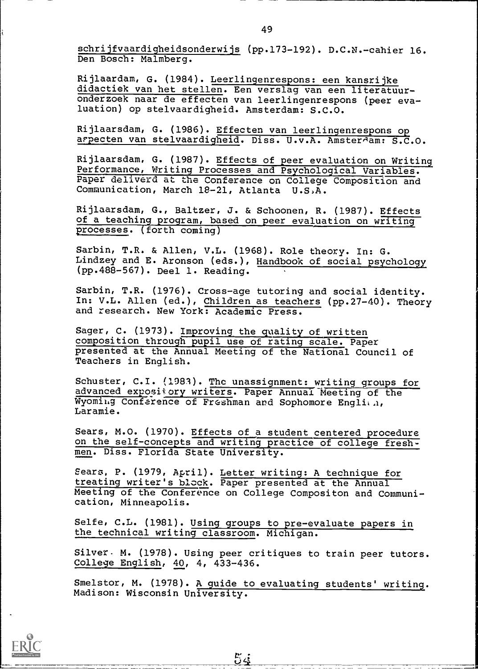schrijfvaardigheidsonderwijs (pp.173-192). D.C.N.-cahier 16. Den Bosch: Malmberg.

Rijlaardam, G. (1984). Leerlingenrespons: een kansrijke didactiek van het stellen. Een verslag van een literatuuronderzoek naar de effecten van leerlingenrespons (peer evaluation) op stelvaardigheid. Amsterdam: S.C.O.

Rijlaarsdam, G. (1986). Effecten van leerlingenrespons op arpecten van stelvaardigheid. Diss. U.v.A. Amsterdam: S.C.O.

Rijlaarsdam, G. (1987). Effects of peer evaluation on Writing Performance, Writing Processes and Psychological Variables. Paper deliverd at the Conference on College Composition and Communication, March 18-21, Atlanta U.S)A.

Rijlaarsdam, G., Baltzer, J. & Schoonen, R. (1987). Effects of a teaching program, based on peer evaluation on writing processes. (forth coming)

Sarbin, T.R. & Allen, V.L. (1968). Role theory. In: G. Lindzey and E. Aronson (eds.), Handbook of social psychology (pp.488-567). Deel 1. Reading.

Sarbin, T.R. (1976). Cross-age tutoring and social identity. In: V.L. Allen (ed.), Children as teachers (pp.27-40). Theory and research. New York: Academic Press.

Sager, C. (1973). Improving the quality of written composition through pupil use of rating scale. Paper presented at the Annual Meeting of the National Council of Teachers in English.

Schuster, C.I. (1983). The unassignment: writing groups for advanced expository writers. Paper Annual Meeting of the Wyoming Conference of Freshman and Sophomore Englien, Laramie.

Sears, M.O. (1970). Effects of a student centered procedure on the self-concepts and writing practice of college freshmen. Diss. Florida State University.

Sears, P. (1979, April). Letter writing: A technique for treating writer's block. Paper presented at the Annual Meeting of the Conference on College Compositon and Communication, Minneapolis.

Selfe, C.L. (1981). Using groups to pre-evaluate papers in the technical writing classroom. Michigan.

Silver- M. (1978). Using peer critiques to train peer tutors. College English, 40, 4, 433-436.

Smelstor, M. (1978). A guide to evaluating students' writing. Madison: Wisconsin University.

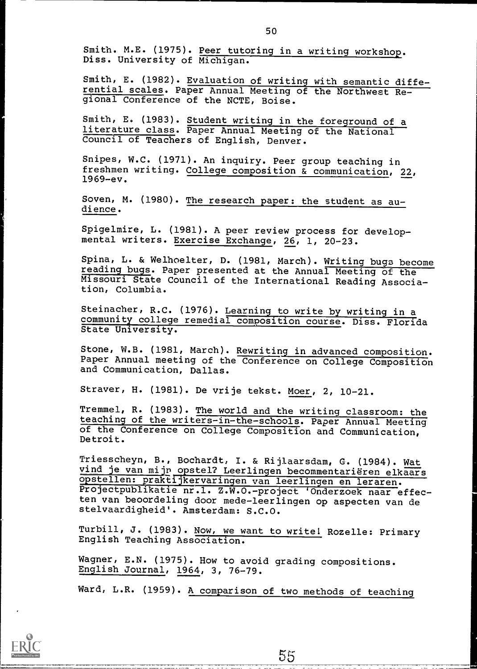Smith. M.E. (1975). Peer tutoring in a writing workshop. Diss. University of Michigan.

Smith, E. (1982). Evaluation of writing with semantic differential scales. Paper Annual Meeting of the Northwest Regional Conference of the NCTE, Boise.

Smith, E. (1983). Student writing in the foreground of a Daten, 20 (1989): Denness and the Control of the National Council of Teachers of English, Denver.

Snipes, W.C. (1971). An inquiry. Peer group teaching in freshmen writing. College composition & communication, 22, 1969-ev.

Soven, M. (1980). The research paper: the student as audience.

Spigelmire, L. (1981). A peer review process for developmental writers. Exercise Exchange, 26, 1, 20-23.

Spina, L. & Welhoelter, D. (1981, March). Writing bugs become reading bugs. Paper presented at the Annual Meeting of the Missouri State Council of the International Reading Association, Columbia.

Steinacher, R.C. (1976). Learning to write by writing in a community college remedial composition course. Diss. Florida State University.

Stone, W.B. (1981, March). Rewriting in advanced composition. Paper Annual meeting of the Conference on College Composition and Communication, Dallas.

Strayer, H. (1981). De vrije tekst. Moer, 2, 10-21.

Tremmel, R. (1983). The world and the writing classroom: the teaching of the writers-in-the-schools. Paper Annual Meeting of the Conference on College Composition and Communication, Detroit.

Triesscheyn, B., Bochardt, I. & Rijlaarsdam, G. (1984). Wat vind je van mijn opstel? Leerlingen becommentarieren elkaars opstellen: praktijkervaringen van leerlingen en leraren. Projectpublikatie nr.l. Z.W.O.-project 'Onderzoek naar effecten van beoordeling door mede-leerlingen op aspecten van de stelvaardigheid'. Amsterdam: S.C.O.

Turbill, J. (1983). Now, we want to write! Rozelle: Primary English Teaching Association.

Wagner, E.N. (1975). How to avoid grading compositions. English Journal, 1964, 3, 76-79.

Ward, L.R. (1959). A comparison of two methods of teaching

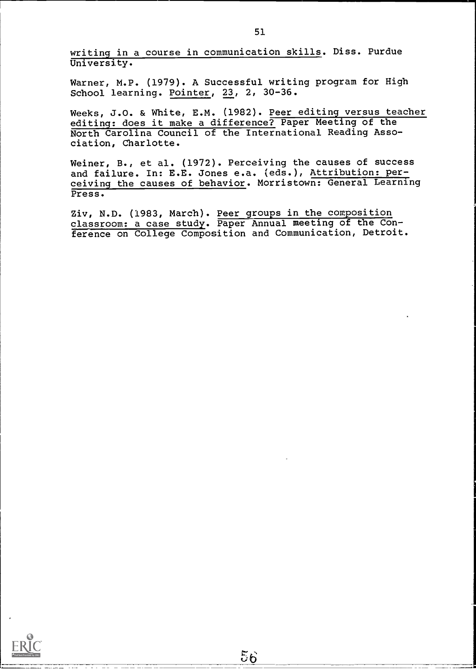writing in a course in communication skills. Diss. Purdue University.

Warner, M.P. (1979). A Successful writing program for High School learning. Pointer, 23, 2, 30-36.

Weeks, J.O. & White, E.M. (1982). Peer editing versus teacher editing: does it make a difference? Paper Meeting of the North Carolina Council of the International Reading Association, Charlotte.

Weiner, B., et al. (1972). Perceiving the causes of success and failure. In: E.E. Jones e.a. (eds.), Attribution: perceiving the causes of behavior. Morristown: General Learning Press.

Ziv, N.D. (1983, March). Peer groups in the composition classroom: a case study. Paper Annual meeting of the Conference on College Composition and Communication, Detroit.

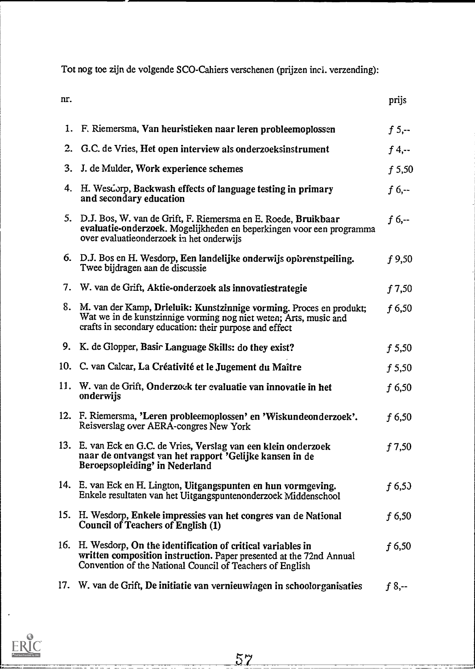Tot nog toe zijn de volgende SCO-Cahiers verschenen (prijzen incl. verzending):

| <br>I<br>×<br>۰ |
|-----------------|

nr. prijs

|     | 1. F. Riemersma, Van heuristieken naar leren probleemoplossen                                                                                                                                          | $f$ 5,--  |
|-----|--------------------------------------------------------------------------------------------------------------------------------------------------------------------------------------------------------|-----------|
|     | 2. G.C. de Vries, Het open interview als onderzoeksinstrument                                                                                                                                          | $f$ 4,--  |
| 3.  | J. de Mulder, Work experience schemes                                                                                                                                                                  | f 5,50    |
|     | 4. H. Wesdorp, Backwash effects of language testing in primary<br>and secondary education                                                                                                              | $f_{0,-}$ |
|     | 5. D.J. Bos, W. van de Grift, F. Riemersma en E. Roede, Bruikbaar<br>evaluatie-onderzoek. Mogelijkheden en beperkingen voor een programma<br>over evaluatie onderzoek in het onderwijs                 | $f_{0,-}$ |
|     | 6. D.J. Bos en H. Wesdorp, Een landelijke onderwijs opbrenstpeiling.<br>Twee bijdragen aan de discussie                                                                                                | f 9,50    |
|     | 7. W. van de Grift, Aktie-onderzoek als innovatiestrategie                                                                                                                                             | f 7,50    |
|     | 8. M. van der Kamp, Drieluik: Kunstzinnige vorming. Proces en produkt;<br>Wat we in de kunstzinnige vorming nog niet weten; Arts, music and<br>crafts in secondary education: their purpose and effect | $f$ 6,50  |
|     | 9. K. de Glopper, Basic Language Skills: do they exist?                                                                                                                                                | f 5,50    |
|     | 10. C. van Calcar, La Créativité et le Jugement du Maître                                                                                                                                              | f 5,50    |
|     | 11. W. van de Grift, Onderzoek ter evaluatie van innovatie in het<br>onderwijs                                                                                                                         | $f$ 6,50  |
|     | 12. F. Riemersma, 'Leren probleemoplossen' en 'Wiskundeonderzoek'.<br>Reisverslag over AERA-congres New York                                                                                           | $f$ 6,50  |
|     | 13. E. van Eck en G.C. de Vries, Verslag van een klein onderzoek<br>naar de ontvangst van het rapport 'Gelijke kansen in de<br>Beroepsopleiding' in Nederland                                          | f7,50     |
|     | 14. E. van Eck en H. Lington, Uitgangspunten en hun vormgeving.<br>Enkele resultaten van het Uitgangspuntenonderzoek Middenschool                                                                      | f(6,5)    |
| 15. | H. Wesdorp, Enkele impressies van het congres van de National<br>Council of Teachers of English (1)                                                                                                    | $f$ 6,50  |
| 16. | H. Wesdorp, On the identification of critical variables in<br>written composition instruction. Paper presented at the 72nd Annual<br>Convention of the National Council of Teachers of English         | $f$ 6,50  |
| 17. | W. van de Grift, De initiatie van vernieuwingen in schoolorganisaties                                                                                                                                  | $f 8, -$  |

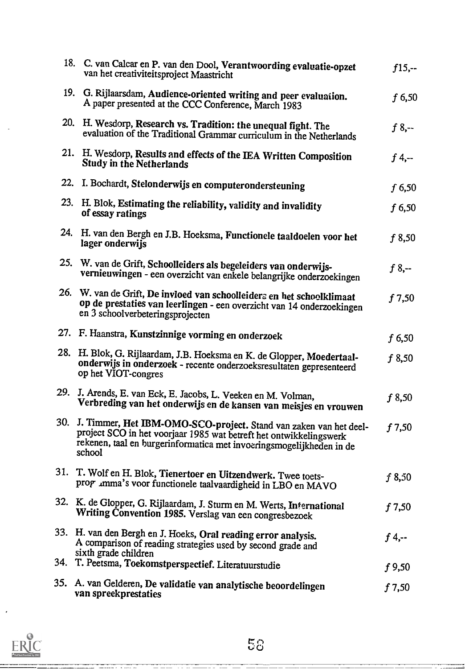|     | 18. C. van Calcar en P. van den Dool, Verantwoording evaluatie-opzet<br>van het creativiteitsproject Maastricht                                                                                                               | $f15, -$  |
|-----|-------------------------------------------------------------------------------------------------------------------------------------------------------------------------------------------------------------------------------|-----------|
|     | 19. G. Rijlaarsdam, Audience-oriented writing and peer evaluation.<br>A paper presented at the CCC Conference, March 1983                                                                                                     | f 6,50    |
| 20. | H. Wesdorp, Research vs. Tradition: the unequal fight. The<br>evaluation of the Traditional Grammar curriculum in the Netherlands                                                                                             | $f 8, -$  |
|     | 21. H. Wesdorp, Results and effects of the IEA Written Composition<br><b>Study in the Netherlands</b>                                                                                                                         | $f$ 4,--  |
| 22. | I. Bochardt, Stelonderwijs en computerondersteuning                                                                                                                                                                           | $f$ 6,50  |
|     | 23. H. Blok, Estimating the reliability, validity and invalidity<br>of essay ratings                                                                                                                                          | f 6,50    |
|     | 24. H. van den Bergh en J.B. Hoeksma, Functionele taaldoelen voor het<br>lager onderwijs                                                                                                                                      | f8,50     |
| 25. | W. van de Grift, Schoolleiders als begeleiders van onderwijs-<br>vernieuwingen - een overzicht van enkele belangrijke onderzoekingen                                                                                          | $f_{0,-}$ |
|     | 26. W. van de Grift, De invloed van schoolleiders en het schoolklimaat<br>op de prestaties van leerlingen - een overzicht van 14 onderzoekingen<br>en 3 schoolverbeteringsprojecten                                           | f7,50     |
|     | 27. F. Haanstra, Kunstzinnige vorming en onderzoek                                                                                                                                                                            | f 6,50    |
|     | 28. H. Blok, G. Rijlaardam, J.B. Hoeksma en K. de Glopper, Moedertaal-<br>onderwijs in onderzoek - recente onderzoeksresultaten gepresenteerd<br>op het VIOT-congres                                                          | f 8,50    |
| 29. | J. Arends, E. van Eck, E. Jacobs, L. Veeken en M. Volman,<br>Verbreding van het onderwijs en de kansen van meisjes en vrouwen                                                                                                 | f8,50     |
|     | 30. J. Timmer, Het IBM-OMO-SCO-project. Stand van zaken van het deel-<br>project SCO in het voorjaar 1985 wat betreft het ontwikkelingswerk<br>rekenen, taal en burgerinformatica met invoeringsmogelijkheden in de<br>school | f7,50     |
|     | 31. T. Wolf en H. Blok, Tienertoer en Uitzendwerk. Twee toets-<br>prog .mma's voor functionele taalvaardigheid in LBO en MAVO                                                                                                 | f8,50     |
|     | 32. K. de Glopper, G. Rijlaardam, J. Sturm en M. Werts, International<br>Writing Convention 1985. Verslag van een congresbezoek                                                                                               | f7,50     |
|     | 33. H. van den Bergh en J. Hoeks, Oral reading error analysis.<br>A comparison of reading strategies used by second grade and<br>sixth grade children                                                                         | $f$ 4,--  |
|     | 34. T. Peetsma, Toekomstperspectief. Literatuurstudie                                                                                                                                                                         | $f$ 9,50  |
|     | 35. A. van Gelderen, De validatie van analytische beoordelingen<br>van spreekprestaties                                                                                                                                       | f7,50     |



 $\cdot$